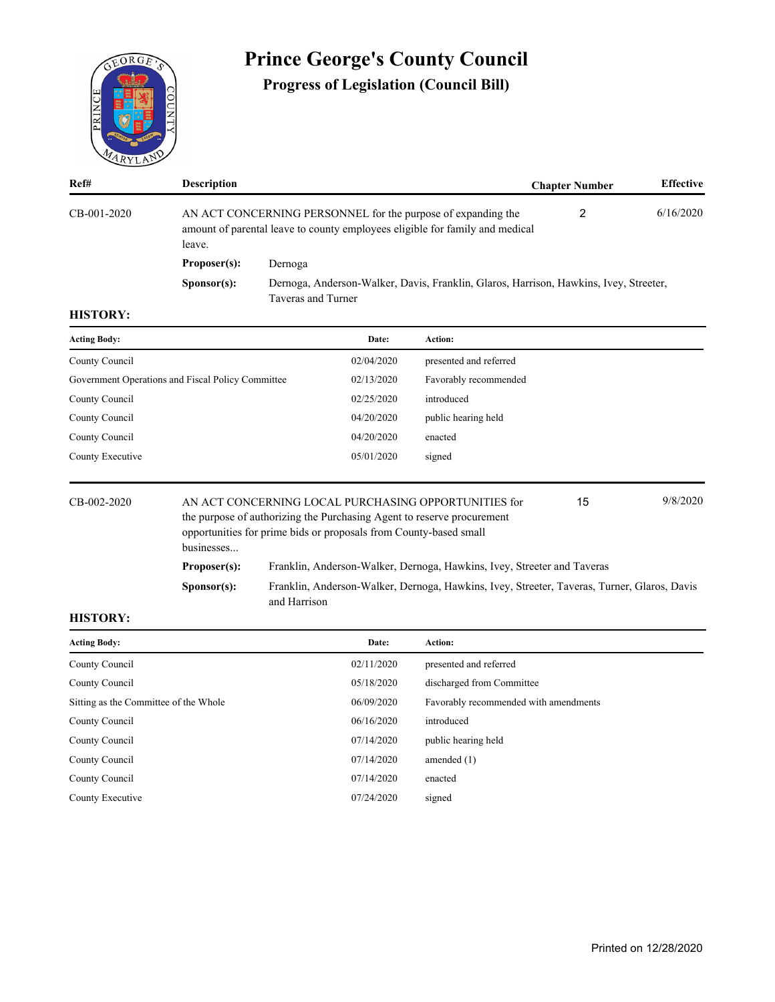

# **Prince George's County Council**

**Progress of Legislation (Council Bill)**

| Ref#        | <b>Description</b>                                                                                                                                     |                                                                                                             | <b>Chapter Number</b> | <b>Effective</b> |
|-------------|--------------------------------------------------------------------------------------------------------------------------------------------------------|-------------------------------------------------------------------------------------------------------------|-----------------------|------------------|
| CB-001-2020 | AN ACT CONCERNING PERSONNEL for the purpose of expanding the<br>amount of parental leave to county employees eligible for family and medical<br>leave. |                                                                                                             |                       | 6/16/2020        |
|             | Proposer(s):                                                                                                                                           | Dernoga                                                                                                     |                       |                  |
|             | S <b>p</b> onsor(s):                                                                                                                                   | Dernoga, Anderson-Walker, Davis, Franklin, Glaros, Harrison, Hawkins, Ivey, Streeter,<br>Taveras and Turner |                       |                  |

## **HISTORY:**

| <b>Acting Body:</b>                               | Date:      | <b>Action:</b>         |
|---------------------------------------------------|------------|------------------------|
| County Council                                    | 02/04/2020 | presented and referred |
| Government Operations and Fiscal Policy Committee | 02/13/2020 | Favorably recommended  |
| County Council                                    | 02/25/2020 | introduced             |
| County Council                                    | 04/20/2020 | public hearing held    |
| County Council                                    | 04/20/2020 | enacted                |
| County Executive                                  | 05/01/2020 | signed                 |
|                                                   |            |                        |

| $CB-002-2020$ | businesses           | 9/8/2020<br>AN ACT CONCERNING LOCAL PURCHASING OPPORTUNITIES for<br>15<br>the purpose of authorizing the Purchasing Agent to reserve procurement<br>opportunities for prime bids or proposals from County-based small |  |  |  |  |
|---------------|----------------------|-----------------------------------------------------------------------------------------------------------------------------------------------------------------------------------------------------------------------|--|--|--|--|
|               | Proposer(s):         | Franklin, Anderson-Walker, Dernoga, Hawkins, Ivey, Streeter and Taveras                                                                                                                                               |  |  |  |  |
|               | S <b>p</b> onsor(s): | Franklin, Anderson-Walker, Dernoga, Hawkins, Ivey, Streeter, Taveras, Turner, Glaros, Davis<br>and Harrison                                                                                                           |  |  |  |  |

| <b>Acting Body:</b>                   | Date:      | Action:                               |
|---------------------------------------|------------|---------------------------------------|
| County Council                        | 02/11/2020 | presented and referred                |
| County Council                        | 05/18/2020 | discharged from Committee             |
| Sitting as the Committee of the Whole | 06/09/2020 | Favorably recommended with amendments |
| County Council                        | 06/16/2020 | introduced                            |
| County Council                        | 07/14/2020 | public hearing held                   |
| County Council                        | 07/14/2020 | amended $(1)$                         |
| County Council                        | 07/14/2020 | enacted                               |
| County Executive                      | 07/24/2020 | signed                                |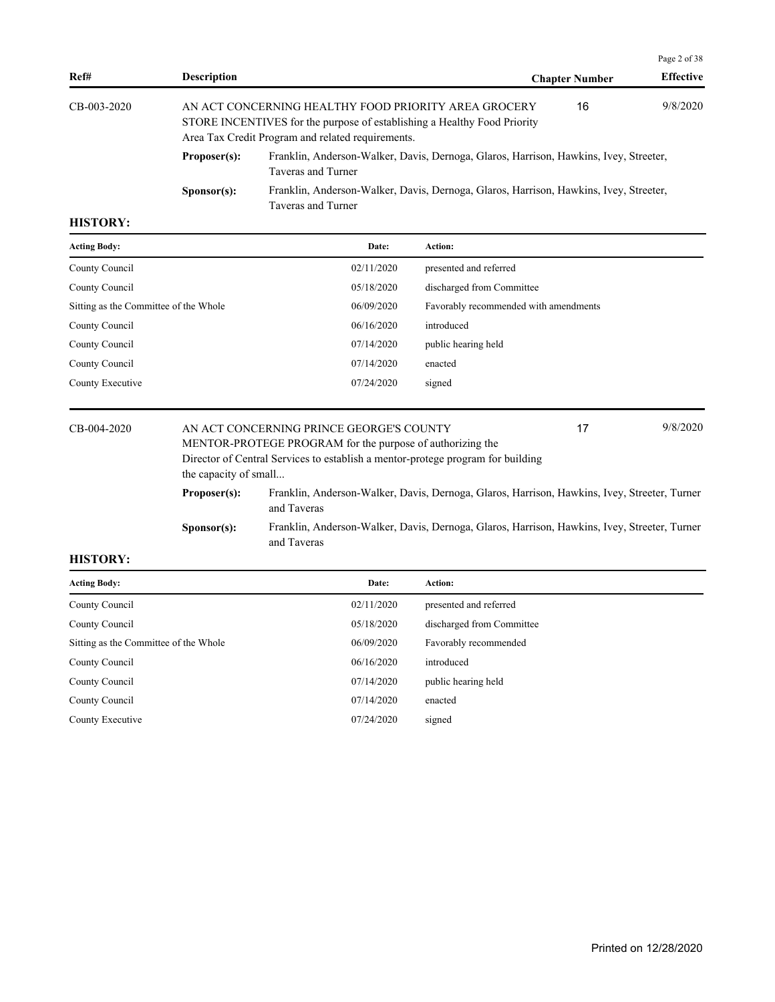|                 |                      |                                                                                                                                                                                       |                       | Page 2 of 38     |
|-----------------|----------------------|---------------------------------------------------------------------------------------------------------------------------------------------------------------------------------------|-----------------------|------------------|
| Ref#            | <b>Description</b>   |                                                                                                                                                                                       | <b>Chapter Number</b> | <b>Effective</b> |
| CB-003-2020     |                      | AN ACT CONCERNING HEALTHY FOOD PRIORITY AREA GROCERY<br>STORE INCENTIVES for the purpose of establishing a Healthy Food Priority<br>Area Tax Credit Program and related requirements. | 16                    | 9/8/2020         |
|                 | Proposer(s):         | Franklin, Anderson-Walker, Davis, Dernoga, Glaros, Harrison, Hawkins, Ivey, Streeter,<br>Taveras and Turner                                                                           |                       |                  |
|                 | S <b>p</b> onsor(s): | Franklin, Anderson-Walker, Davis, Dernoga, Glaros, Harrison, Hawkins, Ivey, Streeter,<br>Taveras and Turner                                                                           |                       |                  |
| <b>HISTORY:</b> |                      |                                                                                                                                                                                       |                       |                  |

| <b>Acting Body:</b>                   | Date:                                    | Action:                               |          |
|---------------------------------------|------------------------------------------|---------------------------------------|----------|
| County Council                        | 02/11/2020                               | presented and referred                |          |
| County Council                        | 05/18/2020                               | discharged from Committee             |          |
| Sitting as the Committee of the Whole | 06/09/2020                               | Favorably recommended with amendments |          |
| County Council                        | 06/16/2020                               | introduced                            |          |
| County Council                        | 07/14/2020                               | public hearing held                   |          |
| County Council                        | 07/14/2020                               | enacted                               |          |
| County Executive                      | 07/24/2020                               | signed                                |          |
|                                       |                                          |                                       |          |
| $CD$ 004 2020                         | AN ACT CONCERNING BRINGE GEORGE'S COUNTY | 17                                    | 9/8/2020 |

| CB-004-2020     |                       | AN ACT CONCERNING PRINCE GEORGE'S COUNTY                                                                    | 17 | 9/8/2020 |
|-----------------|-----------------------|-------------------------------------------------------------------------------------------------------------|----|----------|
|                 |                       | MENTOR-PROTEGE PROGRAM for the purpose of authorizing the                                                   |    |          |
|                 |                       | Director of Central Services to establish a mentor-protege program for building                             |    |          |
|                 | the capacity of small |                                                                                                             |    |          |
|                 | Proposer(s):          | Franklin, Anderson-Walker, Davis, Dernoga, Glaros, Harrison, Hawkins, Ivey, Streeter, Turner<br>and Taveras |    |          |
|                 | S <b>p</b> onsor(s):  | Franklin, Anderson-Walker, Davis, Dernoga, Glaros, Harrison, Hawkins, Ivey, Streeter, Turner<br>and Taveras |    |          |
| <b>IIIAMADI</b> |                       |                                                                                                             |    |          |

| <b>Acting Body:</b>                   | Date:      | <b>Action:</b>            |
|---------------------------------------|------------|---------------------------|
| County Council                        | 02/11/2020 | presented and referred    |
| County Council                        | 05/18/2020 | discharged from Committee |
| Sitting as the Committee of the Whole | 06/09/2020 | Favorably recommended     |
| County Council                        | 06/16/2020 | introduced                |
| County Council                        | 07/14/2020 | public hearing held       |
| County Council                        | 07/14/2020 | enacted                   |
| County Executive                      | 07/24/2020 | signed                    |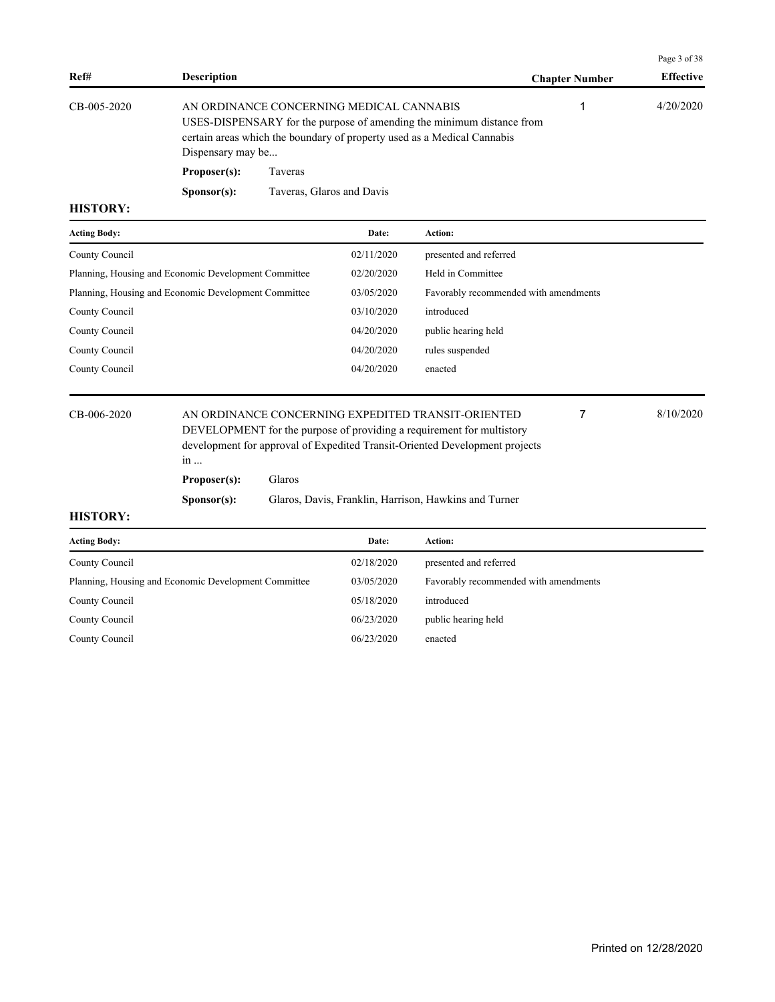| <b>Description</b>   |                           | <b>Chapter Number</b>                                         | <b>Effective</b>                                                                                                                                 |
|----------------------|---------------------------|---------------------------------------------------------------|--------------------------------------------------------------------------------------------------------------------------------------------------|
|                      |                           |                                                               | 4/20/2020                                                                                                                                        |
| Proposer(s):         | Taveras                   |                                                               |                                                                                                                                                  |
| S <b>p</b> onsor(s): | Taveras, Glaros and Davis |                                                               |                                                                                                                                                  |
|                      |                           | AN ORDINANCE CONCERNING MEDICAL CANNABIS<br>Dispensary may be | USES-DISPENSARY for the purpose of amending the minimum distance from<br>certain areas which the boundary of property used as a Medical Cannabis |

| <b>Acting Body:</b>                                  | Date:      | <b>Action:</b>                        |
|------------------------------------------------------|------------|---------------------------------------|
| County Council                                       | 02/11/2020 | presented and referred                |
| Planning, Housing and Economic Development Committee | 02/20/2020 | Held in Committee                     |
| Planning, Housing and Economic Development Committee | 03/05/2020 | Favorably recommended with amendments |
| County Council                                       | 03/10/2020 | introduced                            |
| County Council                                       | 04/20/2020 | public hearing held                   |
| County Council                                       | 04/20/2020 | rules suspended                       |
| County Council                                       | 04/20/2020 | enacted                               |
|                                                      |            |                                       |

CB-006-2020 AN ORDINANCE CONCERNING EXPEDITED TRANSIT-ORIENTED 8/10/2020 DEVELOPMENT for the purpose of providing a requirement for multistory development for approval of Expedited Transit-Oriented Development projects in ... 7 **Proposer(s):** Glaros

**Sponsor(s):** Glaros, Davis, Franklin, Harrison, Hawkins and Turner

Page 3 of 38

| <b>Acting Body:</b>                                  | Date:      | Action:                               |
|------------------------------------------------------|------------|---------------------------------------|
| County Council                                       | 02/18/2020 | presented and referred                |
| Planning, Housing and Economic Development Committee | 03/05/2020 | Favorably recommended with amendments |
| County Council                                       | 05/18/2020 | introduced                            |
| County Council                                       | 06/23/2020 | public hearing held                   |
| County Council                                       | 06/23/2020 | enacted                               |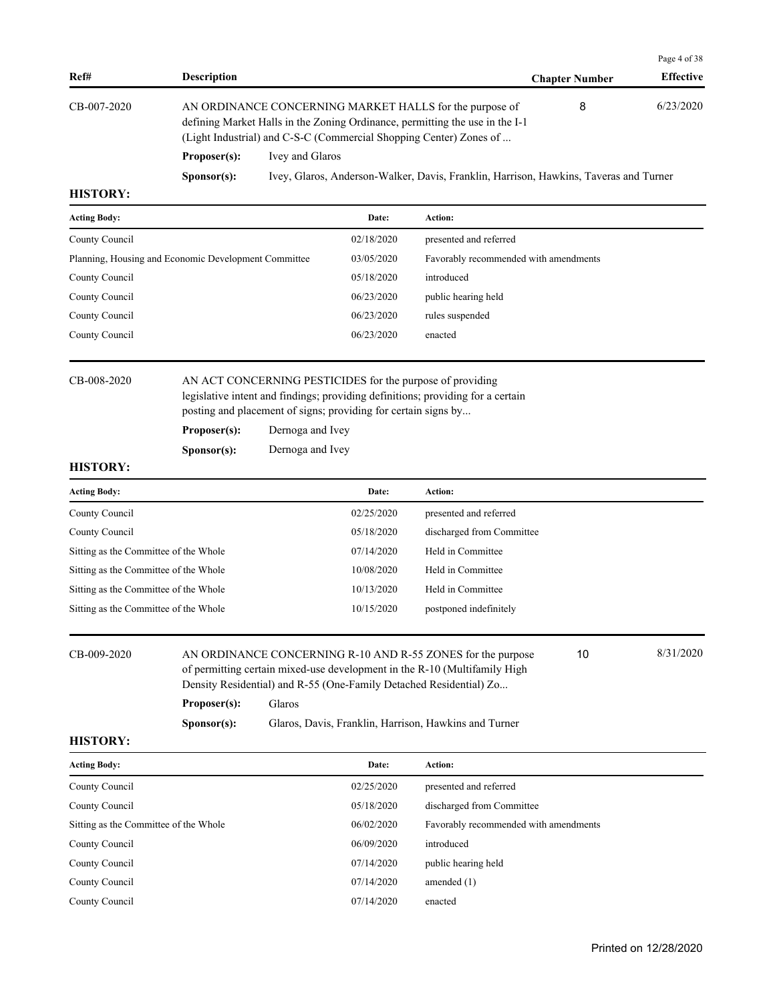|                 |                      |                                                                                                                                                                                                               |                       | Page 4 of 38     |  |
|-----------------|----------------------|---------------------------------------------------------------------------------------------------------------------------------------------------------------------------------------------------------------|-----------------------|------------------|--|
| Ref#            | <b>Description</b>   |                                                                                                                                                                                                               | <b>Chapter Number</b> | <b>Effective</b> |  |
| CB-007-2020     |                      | AN ORDINANCE CONCERNING MARKET HALLS for the purpose of<br>defining Market Halls in the Zoning Ordinance, permitting the use in the I-1<br>(Light Industrial) and C-S-C (Commercial Shopping Center) Zones of | 8                     | 6/23/2020        |  |
|                 | Proposer(s):         | Ivey and Glaros                                                                                                                                                                                               |                       |                  |  |
|                 | S <b>p</b> onsor(s): | Ivey, Glaros, Anderson-Walker, Davis, Franklin, Harrison, Hawkins, Taveras and Turner                                                                                                                         |                       |                  |  |
| <b>HISTORY:</b> |                      |                                                                                                                                                                                                               |                       |                  |  |

| <b>Acting Body:</b>                                  | Date:      | <b>Action:</b>                        |
|------------------------------------------------------|------------|---------------------------------------|
| County Council                                       | 02/18/2020 | presented and referred                |
| Planning, Housing and Economic Development Committee | 03/05/2020 | Favorably recommended with amendments |
| County Council                                       | 05/18/2020 | introduced                            |
| County Council                                       | 06/23/2020 | public hearing held                   |
| County Council                                       | 06/23/2020 | rules suspended                       |
| County Council                                       | 06/23/2020 | enacted                               |
|                                                      |            |                                       |

CB-008-2020 AN ACT CONCERNING PESTICIDES for the purpose of providing legislative intent and findings; providing definitions; providing for a certain posting and placement of signs; providing for certain signs by...

Proposer(s): Dernoga and Ivey

**Sponsor(s):** Dernoga and Ivey

## **HISTORY:**

| <b>Acting Body:</b>                   | Date:      | Action:                   |
|---------------------------------------|------------|---------------------------|
| County Council                        | 02/25/2020 | presented and referred    |
| County Council                        | 05/18/2020 | discharged from Committee |
| Sitting as the Committee of the Whole | 07/14/2020 | Held in Committee         |
| Sitting as the Committee of the Whole | 10/08/2020 | Held in Committee         |
| Sitting as the Committee of the Whole | 10/13/2020 | Held in Committee         |
| Sitting as the Committee of the Whole | 10/15/2020 | postponed indefinitely    |

CB-009-2020 AN ORDINANCE CONCERNING R-10 AND R-55 ZONES for the purpose  $\frac{8}{31/2020}$ of permitting certain mixed-use development in the R-10 (Multifamily High Density Residential) and R-55 (One-Family Detached Residential) Zo...

10

**Proposer(s):** Glaros

**Sponsor(s):** Glaros, Davis, Franklin, Harrison, Hawkins and Turner

| <b>Acting Body:</b>                   | Date:      | Action:                               |
|---------------------------------------|------------|---------------------------------------|
| County Council                        | 02/25/2020 | presented and referred                |
| County Council                        | 05/18/2020 | discharged from Committee             |
| Sitting as the Committee of the Whole | 06/02/2020 | Favorably recommended with amendments |
| County Council                        | 06/09/2020 | introduced                            |
| County Council                        | 07/14/2020 | public hearing held                   |
| County Council                        | 07/14/2020 | amended $(1)$                         |
| County Council                        | 07/14/2020 | enacted                               |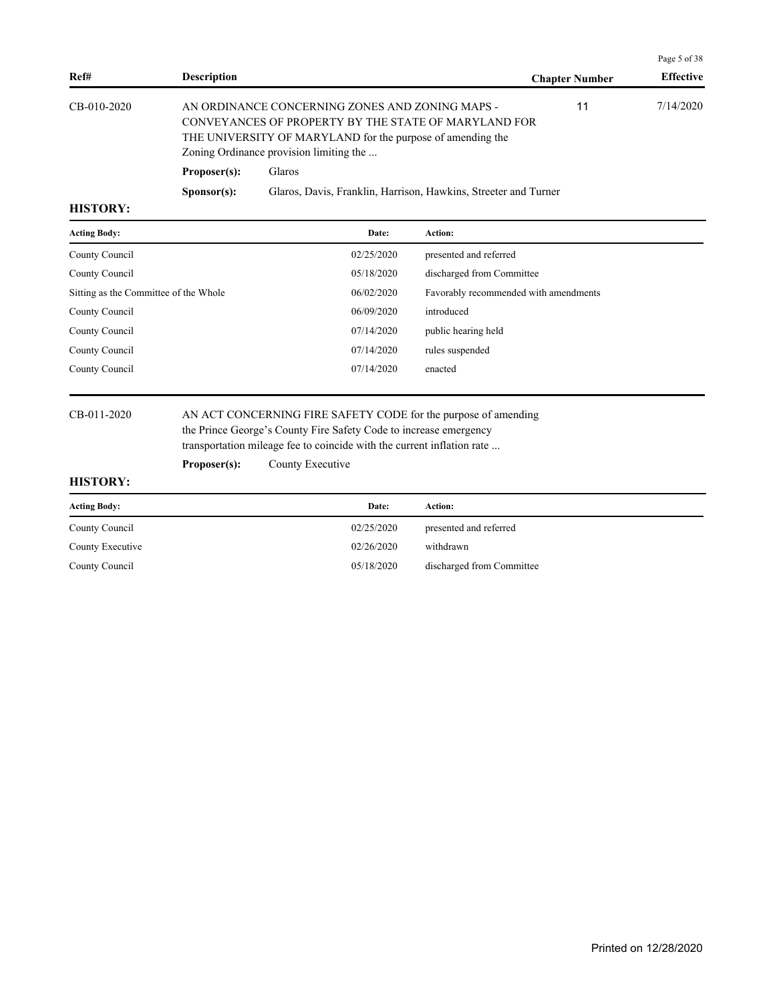|               |                      |                                                                                                                                                                                                                  |                       | Page 5 of 38     |
|---------------|----------------------|------------------------------------------------------------------------------------------------------------------------------------------------------------------------------------------------------------------|-----------------------|------------------|
| Ref#          | <b>Description</b>   |                                                                                                                                                                                                                  | <b>Chapter Number</b> | <b>Effective</b> |
| $CB-010-2020$ |                      | AN ORDINANCE CONCERNING ZONES AND ZONING MAPS -<br>CONVEYANCES OF PROPERTY BY THE STATE OF MARYLAND FOR<br>THE UNIVERSITY OF MARYLAND for the purpose of amending the<br>Zoning Ordinance provision limiting the | 11                    | 7/14/2020        |
|               | Proposer(s):         | Glaros                                                                                                                                                                                                           |                       |                  |
|               | S <b>p</b> onsor(s): | Glaros, Davis, Franklin, Harrison, Hawkins, Streeter and Turner                                                                                                                                                  |                       |                  |

| <b>Acting Body:</b>                   | Date:      | Action:                               |
|---------------------------------------|------------|---------------------------------------|
| County Council                        | 02/25/2020 | presented and referred                |
| County Council                        | 05/18/2020 | discharged from Committee             |
| Sitting as the Committee of the Whole | 06/02/2020 | Favorably recommended with amendments |
| County Council                        | 06/09/2020 | introduced                            |
| County Council                        | 07/14/2020 | public hearing held                   |
| County Council                        | 07/14/2020 | rules suspended                       |
| County Council                        | 07/14/2020 | enacted                               |
|                                       |            |                                       |

CB-011-2020 AN ACT CONCERNING FIRE SAFETY CODE for the purpose of amending the Prince George's County Fire Safety Code to increase emergency transportation mileage fee to coincide with the current inflation rate ...

Proposer(s): County Executive

| <b>Acting Body:</b> | Date:      | Action:                   |
|---------------------|------------|---------------------------|
| County Council      | 02/25/2020 | presented and referred    |
| County Executive    | 02/26/2020 | withdrawn                 |
| County Council      | 05/18/2020 | discharged from Committee |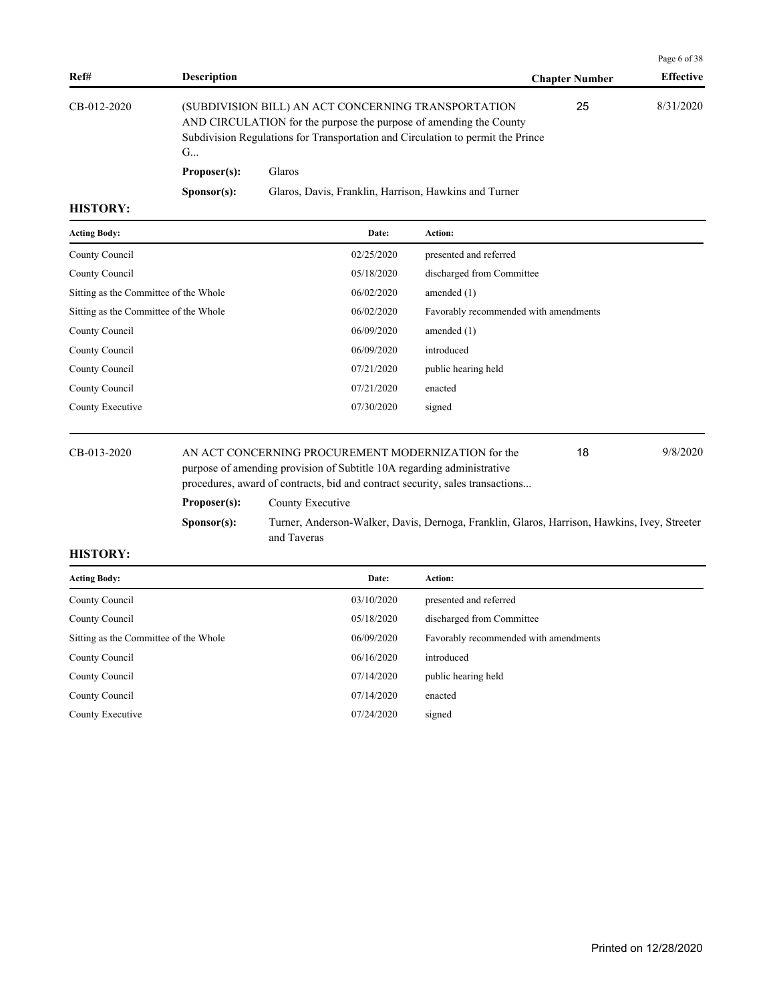|               |                      |                                                                                                                                                                                                              |                       | Page 6 of 38     |
|---------------|----------------------|--------------------------------------------------------------------------------------------------------------------------------------------------------------------------------------------------------------|-----------------------|------------------|
| Ref#          | <b>Description</b>   |                                                                                                                                                                                                              | <b>Chapter Number</b> | <b>Effective</b> |
| $CB-012-2020$ | G                    | (SUBDIVISION BILL) AN ACT CONCERNING TRANSPORTATION<br>AND CIRCULATION for the purpose the purpose of amending the County<br>Subdivision Regulations for Transportation and Circulation to permit the Prince | 25                    | 8/31/2020        |
|               | Proposer(s):         | <b>Glaros</b>                                                                                                                                                                                                |                       |                  |
|               | S <b>p</b> onsor(s): | Glaros, Davis, Franklin, Harrison, Hawkins and Turner                                                                                                                                                        |                       |                  |

| <b>Acting Body:</b>                   | Date:      | Action:                               |
|---------------------------------------|------------|---------------------------------------|
| County Council                        | 02/25/2020 | presented and referred                |
| County Council                        | 05/18/2020 | discharged from Committee             |
| Sitting as the Committee of the Whole | 06/02/2020 | amended $(1)$                         |
| Sitting as the Committee of the Whole | 06/02/2020 | Favorably recommended with amendments |
| County Council                        | 06/09/2020 | amended $(1)$                         |
| County Council                        | 06/09/2020 | introduced                            |
| County Council                        | 07/21/2020 | public hearing held                   |
| County Council                        | 07/21/2020 | enacted                               |
| County Executive                      | 07/30/2020 | signed                                |
|                                       |            |                                       |

CB-013-2020 AN ACT CONCERNING PROCUREMENT MODERNIZATION for the 9/8/2020 purpose of amending provision of Subtitle 10A regarding administrative procedures, award of contracts, bid and contract security, sales transactions... 18 **Proposer(s):** County Executive **Sponsor(s):** Turner, Anderson-Walker, Davis, Dernoga, Franklin, Glaros, Harrison, Hawkins, Ivey, Streeter and Taveras

| <b>Acting Body:</b>                   | Date:      | <b>Action:</b>                        |
|---------------------------------------|------------|---------------------------------------|
| County Council                        | 03/10/2020 | presented and referred                |
| County Council                        | 05/18/2020 | discharged from Committee             |
| Sitting as the Committee of the Whole | 06/09/2020 | Favorably recommended with amendments |
| County Council                        | 06/16/2020 | introduced                            |
| County Council                        | 07/14/2020 | public hearing held                   |
| County Council                        | 07/14/2020 | enacted                               |
| County Executive                      | 07/24/2020 | signed                                |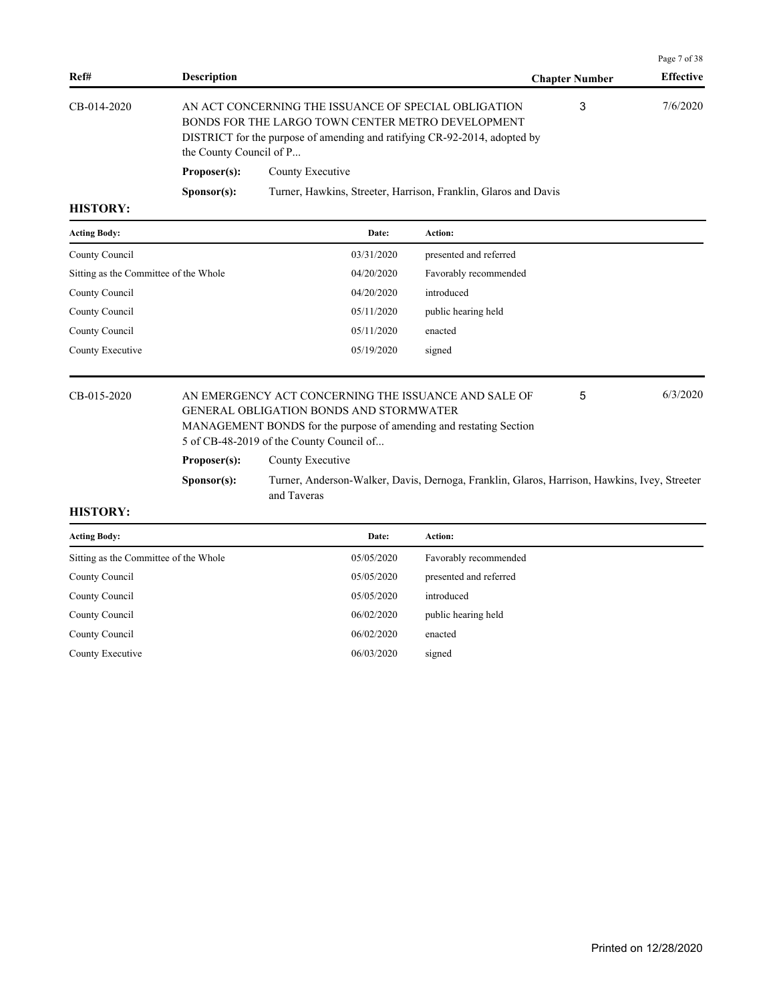|                |                         |                                                                                                                                                                                        |                       | Page 7 of 38     |
|----------------|-------------------------|----------------------------------------------------------------------------------------------------------------------------------------------------------------------------------------|-----------------------|------------------|
| Ref#           | <b>Description</b>      |                                                                                                                                                                                        | <b>Chapter Number</b> | <b>Effective</b> |
| CB-014-2020    | the County Council of P | AN ACT CONCERNING THE ISSUANCE OF SPECIAL OBLIGATION<br>BONDS FOR THE LARGO TOWN CENTER METRO DEVELOPMENT<br>DISTRICT for the purpose of amending and ratifying CR-92-2014, adopted by | 3                     | 7/6/2020         |
|                | Proposer(s):            | County Executive                                                                                                                                                                       |                       |                  |
|                | S <b>p</b> onsor(s):    | Turner, Hawkins, Streeter, Harrison, Franklin, Glaros and Davis                                                                                                                        |                       |                  |
| <b>HISTORY</b> |                         |                                                                                                                                                                                        |                       |                  |

| <b>Acting Body:</b>                   | Date:      | <b>Action:</b>         |
|---------------------------------------|------------|------------------------|
| County Council                        | 03/31/2020 | presented and referred |
| Sitting as the Committee of the Whole | 04/20/2020 | Favorably recommended  |
| County Council                        | 04/20/2020 | introduced             |
| County Council                        | 05/11/2020 | public hearing held    |
| County Council                        | 05/11/2020 | enacted                |
| County Executive                      | 05/19/2020 | signed                 |

#### CB-015-2020 AN EMERGENCY ACT CONCERNING THE ISSUANCE AND SALE OF 6/3/2020 GENERAL OBLIGATION BONDS AND STORMWATER MANAGEMENT BONDS for the purpose of amending and restating Section 5 of CB-48-2019 of the County Council of... 5 Proposer(s): County Executive

**Sponsor(s):** Turner, Anderson-Walker, Davis, Dernoga, Franklin, Glaros, Harrison, Hawkins, Ivey, Streeter and Taveras

| <b>Acting Body:</b>                   | Date:      | <b>Action:</b>         |
|---------------------------------------|------------|------------------------|
| Sitting as the Committee of the Whole | 05/05/2020 | Favorably recommended  |
| County Council                        | 05/05/2020 | presented and referred |
| County Council                        | 05/05/2020 | introduced             |
| County Council                        | 06/02/2020 | public hearing held    |
| County Council                        | 06/02/2020 | enacted                |
| County Executive                      | 06/03/2020 | signed                 |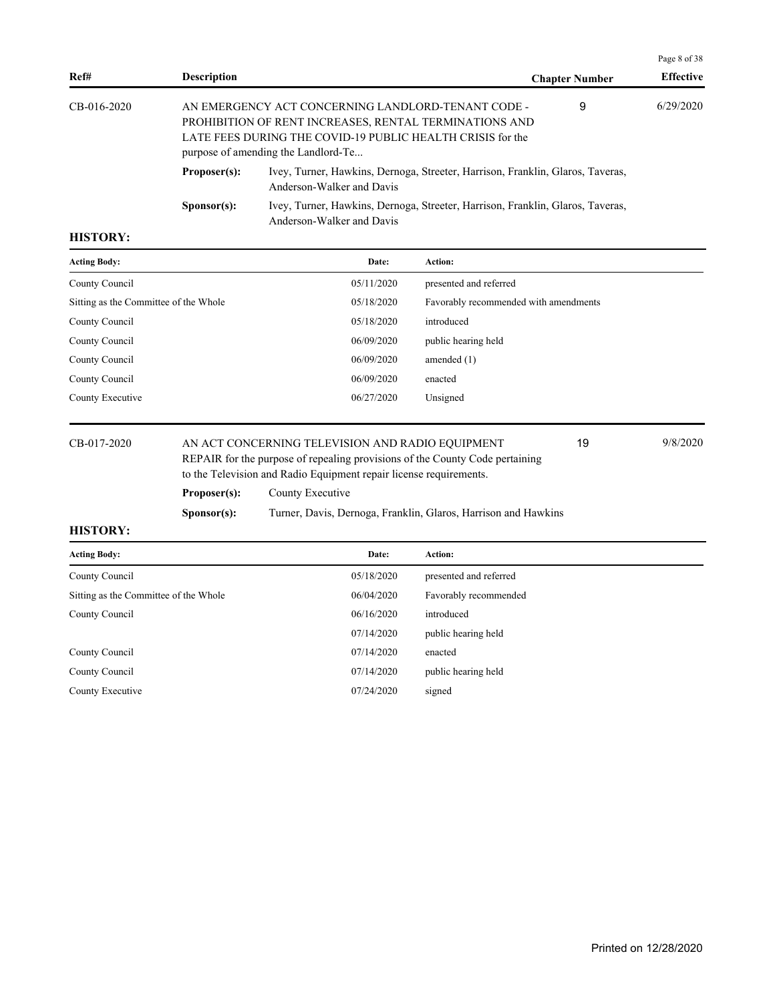|               |                      |                                                                                                                                                                                                                   |                       | Page 8 of 38     |
|---------------|----------------------|-------------------------------------------------------------------------------------------------------------------------------------------------------------------------------------------------------------------|-----------------------|------------------|
| Ref#          | <b>Description</b>   |                                                                                                                                                                                                                   | <b>Chapter Number</b> | <b>Effective</b> |
| $CB-016-2020$ |                      | AN EMERGENCY ACT CONCERNING LANDLORD-TENANT CODE -<br>PROHIBITION OF RENT INCREASES, RENTAL TERMINATIONS AND<br>LATE FEES DURING THE COVID-19 PUBLIC HEALTH CRISIS for the<br>purpose of amending the Landlord-Te | 9                     | 6/29/2020        |
|               | Proposer(s):         | Ivey, Turner, Hawkins, Dernoga, Streeter, Harrison, Franklin, Glaros, Taveras,<br>Anderson-Walker and Davis                                                                                                       |                       |                  |
|               | S <b>p</b> onsor(s): | Ivey, Turner, Hawkins, Dernoga, Streeter, Harrison, Franklin, Glaros, Taveras,<br>Anderson-Walker and Davis                                                                                                       |                       |                  |
|               |                      |                                                                                                                                                                                                                   |                       |                  |

| <b>Acting Body:</b>                   | Date:      | Action:                               |
|---------------------------------------|------------|---------------------------------------|
| County Council                        | 05/11/2020 | presented and referred                |
| Sitting as the Committee of the Whole | 05/18/2020 | Favorably recommended with amendments |
| County Council                        | 05/18/2020 | introduced                            |
| County Council                        | 06/09/2020 | public hearing held                   |
| County Council                        | 06/09/2020 | amended $(1)$                         |
| County Council                        | 06/09/2020 | enacted                               |
| County Executive                      | 06/27/2020 | Unsigned                              |
|                                       |            |                                       |

# CB-017-2020 AN ACT CONCERNING TELEVISION AND RADIO EQUIPMENT 19 9/8/2020

REPAIR for the purpose of repealing provisions of the County Code pertaining to the Television and Radio Equipment repair license requirements.

19

| Proposer(s): | County Executive |  |
|--------------|------------------|--|
|              |                  |  |

**Sponsor(s):** Turner, Davis, Dernoga, Franklin, Glaros, Harrison and Hawkins

| <b>Acting Body:</b>                   | Date:      | <b>Action:</b>         |
|---------------------------------------|------------|------------------------|
| County Council                        | 05/18/2020 | presented and referred |
| Sitting as the Committee of the Whole | 06/04/2020 | Favorably recommended  |
| County Council                        | 06/16/2020 | introduced             |
|                                       | 07/14/2020 | public hearing held    |
| County Council                        | 07/14/2020 | enacted                |
| County Council                        | 07/14/2020 | public hearing held    |
| County Executive                      | 07/24/2020 | signed                 |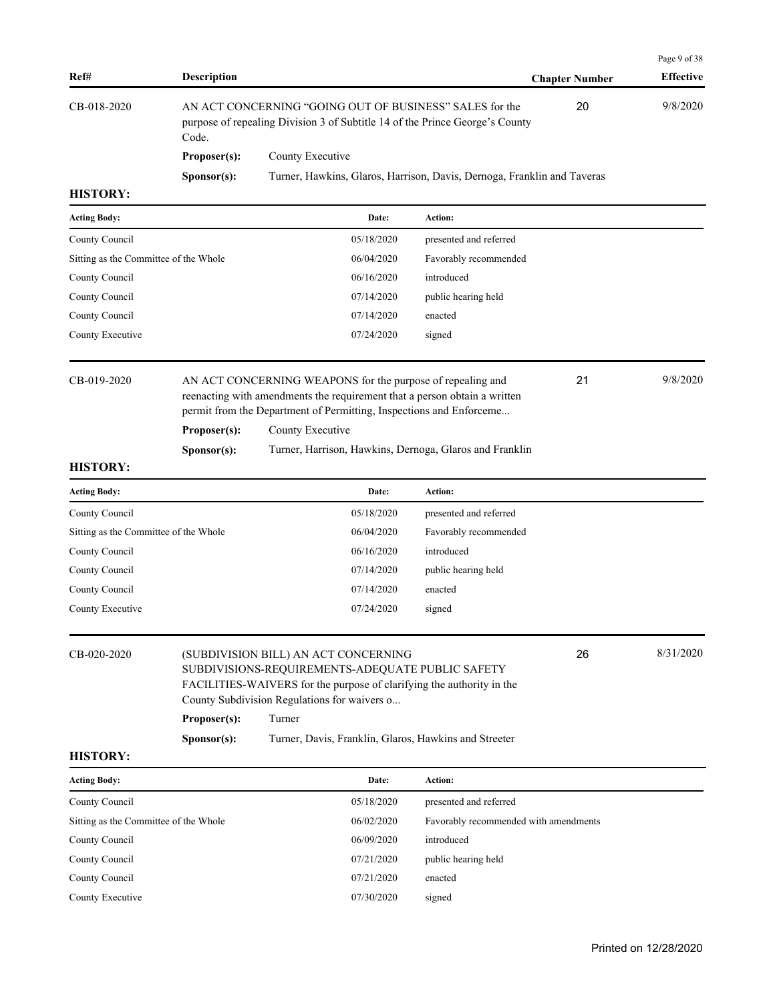|                                       |                             |                                                                                                                                                                                                                                                                                                                 |                                       |                       | Page 9 of 38     |
|---------------------------------------|-----------------------------|-----------------------------------------------------------------------------------------------------------------------------------------------------------------------------------------------------------------------------------------------------------------------------------------------------------------|---------------------------------------|-----------------------|------------------|
| Ref#                                  | <b>Description</b>          |                                                                                                                                                                                                                                                                                                                 |                                       | <b>Chapter Number</b> | <b>Effective</b> |
| CB-018-2020                           | Code.                       | AN ACT CONCERNING "GOING OUT OF BUSINESS" SALES for the<br>purpose of repealing Division 3 of Subtitle 14 of the Prince George's County                                                                                                                                                                         |                                       | 20                    | 9/8/2020         |
|                                       | Proposer(s):                | County Executive                                                                                                                                                                                                                                                                                                |                                       |                       |                  |
|                                       | Sponsor(s):                 | Turner, Hawkins, Glaros, Harrison, Davis, Dernoga, Franklin and Taveras                                                                                                                                                                                                                                         |                                       |                       |                  |
| <b>HISTORY:</b>                       |                             |                                                                                                                                                                                                                                                                                                                 |                                       |                       |                  |
| <b>Acting Body:</b>                   |                             | Date:                                                                                                                                                                                                                                                                                                           | Action:                               |                       |                  |
| County Council                        |                             | 05/18/2020                                                                                                                                                                                                                                                                                                      | presented and referred                |                       |                  |
| Sitting as the Committee of the Whole |                             | 06/04/2020                                                                                                                                                                                                                                                                                                      | Favorably recommended                 |                       |                  |
| County Council                        |                             | 06/16/2020                                                                                                                                                                                                                                                                                                      | introduced                            |                       |                  |
| County Council                        |                             | 07/14/2020                                                                                                                                                                                                                                                                                                      | public hearing held                   |                       |                  |
| County Council                        |                             | 07/14/2020                                                                                                                                                                                                                                                                                                      | enacted                               |                       |                  |
| County Executive                      |                             | 07/24/2020                                                                                                                                                                                                                                                                                                      | signed                                |                       |                  |
| CB-019-2020                           | Proposer(s):<br>Sponsor(s): | 9/8/2020<br>21<br>AN ACT CONCERNING WEAPONS for the purpose of repealing and<br>reenacting with amendments the requirement that a person obtain a written<br>permit from the Department of Permitting, Inspections and Enforceme<br>County Executive<br>Turner, Harrison, Hawkins, Dernoga, Glaros and Franklin |                                       |                       |                  |
| <b>HISTORY:</b>                       |                             |                                                                                                                                                                                                                                                                                                                 |                                       |                       |                  |
| <b>Acting Body:</b>                   |                             | Date:                                                                                                                                                                                                                                                                                                           | Action:                               |                       |                  |
| County Council                        |                             | 05/18/2020                                                                                                                                                                                                                                                                                                      | presented and referred                |                       |                  |
| Sitting as the Committee of the Whole |                             | 06/04/2020                                                                                                                                                                                                                                                                                                      | Favorably recommended                 |                       |                  |
| County Council                        |                             | 06/16/2020                                                                                                                                                                                                                                                                                                      | introduced                            |                       |                  |
| County Council                        |                             | 07/14/2020                                                                                                                                                                                                                                                                                                      | public hearing held                   |                       |                  |
| County Council                        |                             | 07/14/2020                                                                                                                                                                                                                                                                                                      | enacted                               |                       |                  |
| County Executive                      |                             | 07/24/2020                                                                                                                                                                                                                                                                                                      | signed                                |                       |                  |
| CB-020-2020                           |                             | (SUBDIVISION BILL) AN ACT CONCERNING<br>SUBDIVISIONS-REQUIREMENTS-ADEQUATE PUBLIC SAFETY<br>FACILITIES-WAIVERS for the purpose of clarifying the authority in the<br>County Subdivision Regulations for waivers o                                                                                               |                                       | 26                    | 8/31/2020        |
|                                       | Proposer(s):                | Turner                                                                                                                                                                                                                                                                                                          |                                       |                       |                  |
| <b>HISTORY:</b>                       | Sponsor(s):                 | Turner, Davis, Franklin, Glaros, Hawkins and Streeter                                                                                                                                                                                                                                                           |                                       |                       |                  |
| <b>Acting Body:</b>                   |                             | Date:                                                                                                                                                                                                                                                                                                           | <b>Action:</b>                        |                       |                  |
| County Council                        |                             | 05/18/2020                                                                                                                                                                                                                                                                                                      | presented and referred                |                       |                  |
| Sitting as the Committee of the Whole |                             | 06/02/2020                                                                                                                                                                                                                                                                                                      | Favorably recommended with amendments |                       |                  |
| County Council                        |                             | 06/09/2020                                                                                                                                                                                                                                                                                                      | introduced                            |                       |                  |
| County Council                        |                             | 07/21/2020                                                                                                                                                                                                                                                                                                      | public hearing held                   |                       |                  |
| County Council                        |                             | 07/21/2020                                                                                                                                                                                                                                                                                                      | enacted                               |                       |                  |
| County Executive                      |                             | 07/30/2020                                                                                                                                                                                                                                                                                                      | signed                                |                       |                  |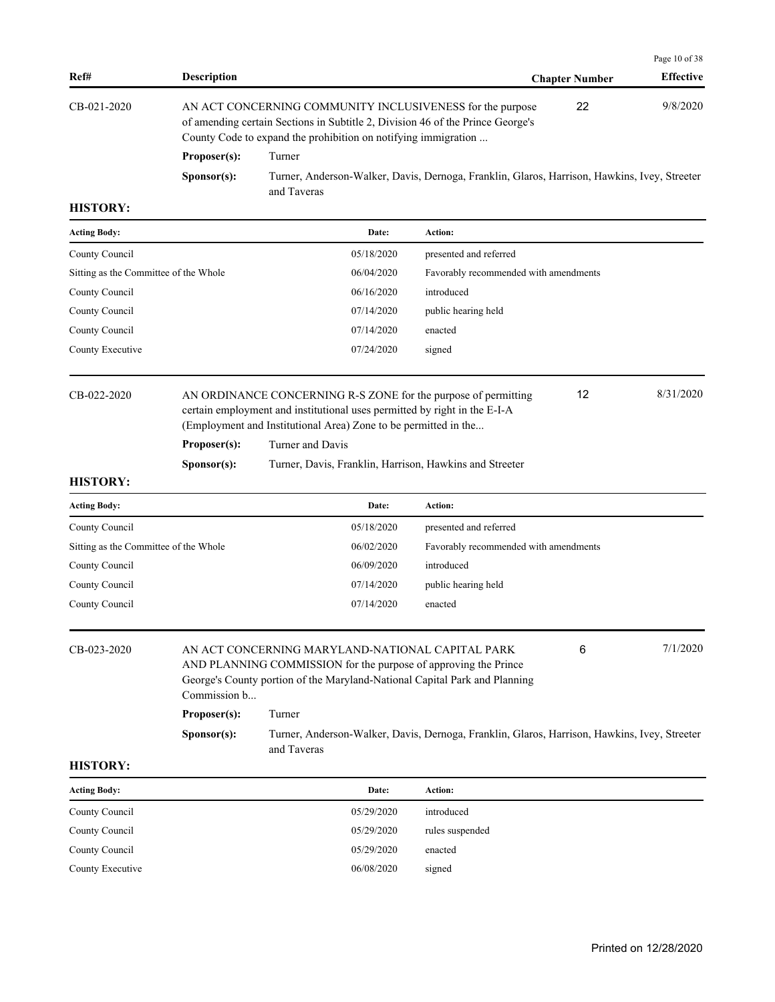|                                       |                      |                                                                                                                                                                                                               |                                       |                       | Page 10 of 38    |
|---------------------------------------|----------------------|---------------------------------------------------------------------------------------------------------------------------------------------------------------------------------------------------------------|---------------------------------------|-----------------------|------------------|
| Ref#                                  | <b>Description</b>   |                                                                                                                                                                                                               |                                       | <b>Chapter Number</b> | <b>Effective</b> |
| CB-021-2020                           |                      | AN ACT CONCERNING COMMUNITY INCLUSIVENESS for the purpose<br>of amending certain Sections in Subtitle 2, Division 46 of the Prince George's<br>County Code to expand the prohibition on notifying immigration |                                       | 22                    | 9/8/2020         |
|                                       | Proposer(s):         | Turner                                                                                                                                                                                                        |                                       |                       |                  |
|                                       | S <b>p</b> onsor(s): | Turner, Anderson-Walker, Davis, Dernoga, Franklin, Glaros, Harrison, Hawkins, Ivey, Streeter<br>and Taveras                                                                                                   |                                       |                       |                  |
| <b>HISTORY:</b>                       |                      |                                                                                                                                                                                                               |                                       |                       |                  |
| <b>Acting Body:</b>                   |                      | Date:                                                                                                                                                                                                         | Action:                               |                       |                  |
| County Council                        |                      | 05/18/2020                                                                                                                                                                                                    | presented and referred                |                       |                  |
| Sitting as the Committee of the Whole |                      | 06/04/2020                                                                                                                                                                                                    | Favorably recommended with amendments |                       |                  |
| County Council                        |                      | 06/16/2020                                                                                                                                                                                                    | introduced                            |                       |                  |
| County Council                        |                      | 07/14/2020                                                                                                                                                                                                    | public hearing held                   |                       |                  |
| County Council                        |                      | 07/14/2020                                                                                                                                                                                                    | enacted                               |                       |                  |

| CB-022-2020 |  |
|-------------|--|
|             |  |

certain employment and institutional uses permitted by right in the E-I-A (Employment and Institutional Area) Zone to be permitted in the... **Proposer(s):** Turner and Davis **Sponsor(s):** Turner, Davis, Franklin, Harrison, Hawkins and Streeter

AN ORDINANCE CONCERNING R-S ZONE for the purpose of permitting  $\qquad 12$  8/31/2020

12

County Executive 07/24/2020 signed

| <b>HISTORY:</b> |  |
|-----------------|--|

| <b>Acting Body:</b>                   | Date:      | <b>Action:</b>                        |
|---------------------------------------|------------|---------------------------------------|
| County Council                        | 05/18/2020 | presented and referred                |
| Sitting as the Committee of the Whole | 06/02/2020 | Favorably recommended with amendments |
| County Council                        | 06/09/2020 | introduced                            |
| County Council                        | 07/14/2020 | public hearing held                   |
| County Council                        | 07/14/2020 | enacted                               |

| CB-023-2020 | 7/1/2020<br>6<br>AN ACT CONCERNING MARYLAND-NATIONAL CAPITAL PARK          |                                                                                                             |  |  |  |
|-------------|----------------------------------------------------------------------------|-------------------------------------------------------------------------------------------------------------|--|--|--|
|             | AND PLANNING COMMISSION for the purpose of approving the Prince            |                                                                                                             |  |  |  |
|             | George's County portion of the Maryland-National Capital Park and Planning |                                                                                                             |  |  |  |
|             | Commission b                                                               |                                                                                                             |  |  |  |
|             | Proposer(s):                                                               | Turner                                                                                                      |  |  |  |
|             | S <b>p</b> onsor(s):                                                       | Turner, Anderson-Walker, Davis, Dernoga, Franklin, Glaros, Harrison, Hawkins, Ivey, Streeter<br>and Taveras |  |  |  |

| <b>Acting Body:</b> | Date:      | Action:         |
|---------------------|------------|-----------------|
| County Council      | 05/29/2020 | introduced      |
| County Council      | 05/29/2020 | rules suspended |
| County Council      | 05/29/2020 | enacted         |
| County Executive    | 06/08/2020 | signed          |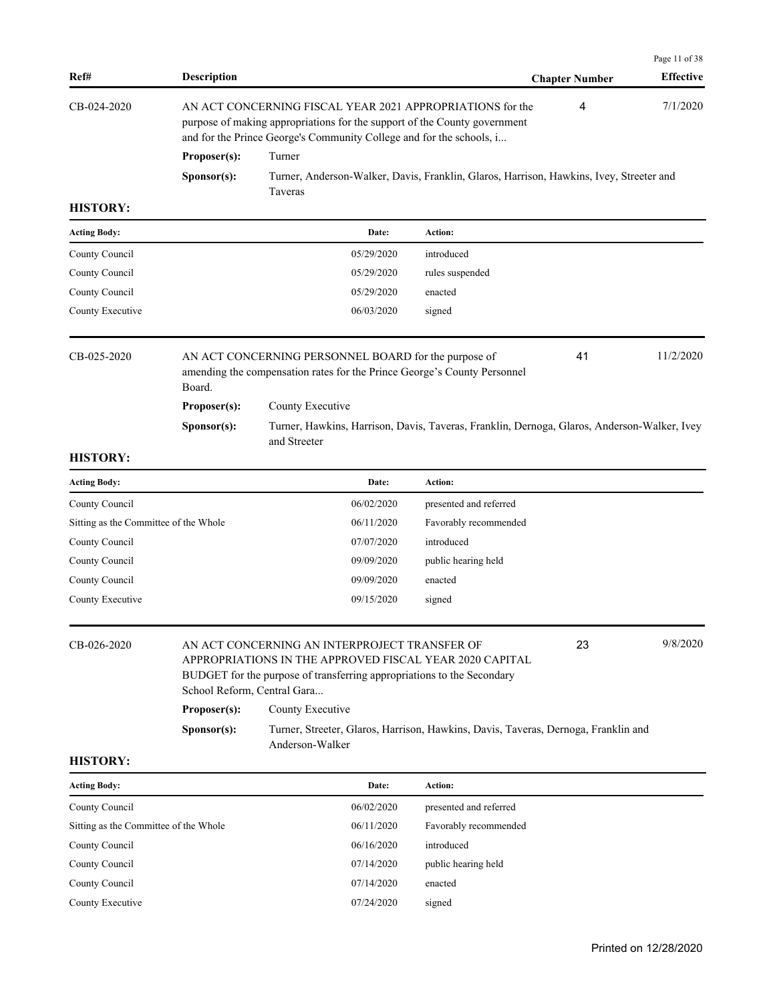| Ref#                                  | <b>Description</b>                          |                                                                                                                                                                                                                |                        | <b>Chapter Number</b> | Page 11 of 38<br><b>Effective</b> |
|---------------------------------------|---------------------------------------------|----------------------------------------------------------------------------------------------------------------------------------------------------------------------------------------------------------------|------------------------|-----------------------|-----------------------------------|
| CB-024-2020                           |                                             | AN ACT CONCERNING FISCAL YEAR 2021 APPROPRIATIONS for the<br>purpose of making appropriations for the support of the County government<br>and for the Prince George's Community College and for the schools, i |                        | 4                     | 7/1/2020                          |
|                                       | Proposer(s):                                | Turner                                                                                                                                                                                                         |                        |                       |                                   |
|                                       | Sponsor(s):                                 | Turner, Anderson-Walker, Davis, Franklin, Glaros, Harrison, Hawkins, Ivey, Streeter and<br>Taveras                                                                                                             |                        |                       |                                   |
| <b>HISTORY:</b>                       |                                             |                                                                                                                                                                                                                |                        |                       |                                   |
| <b>Acting Body:</b>                   |                                             | Date:                                                                                                                                                                                                          | Action:                |                       |                                   |
| County Council                        |                                             | 05/29/2020                                                                                                                                                                                                     | introduced             |                       |                                   |
| County Council                        |                                             | 05/29/2020                                                                                                                                                                                                     | rules suspended        |                       |                                   |
| County Council                        |                                             | 05/29/2020                                                                                                                                                                                                     | enacted                |                       |                                   |
| County Executive                      |                                             | 06/03/2020                                                                                                                                                                                                     | signed                 |                       |                                   |
| CB-025-2020                           | Board.                                      | AN ACT CONCERNING PERSONNEL BOARD for the purpose of<br>amending the compensation rates for the Prince George's County Personnel                                                                               |                        | 41                    | 11/2/2020                         |
|                                       | Proposer(s):                                | County Executive                                                                                                                                                                                               |                        |                       |                                   |
|                                       | Sponsor(s):                                 | Turner, Hawkins, Harrison, Davis, Taveras, Franklin, Dernoga, Glaros, Anderson-Walker, Ivey<br>and Streeter                                                                                                    |                        |                       |                                   |
| <b>HISTORY:</b>                       |                                             |                                                                                                                                                                                                                |                        |                       |                                   |
| <b>Acting Body:</b>                   |                                             | Date:                                                                                                                                                                                                          | Action:                |                       |                                   |
| County Council                        |                                             | 06/02/2020                                                                                                                                                                                                     | presented and referred |                       |                                   |
| Sitting as the Committee of the Whole |                                             | 06/11/2020                                                                                                                                                                                                     | Favorably recommended  |                       |                                   |
| County Council                        |                                             | 07/07/2020                                                                                                                                                                                                     | introduced             |                       |                                   |
| County Council                        |                                             | 09/09/2020                                                                                                                                                                                                     | public hearing held    |                       |                                   |
| County Council                        |                                             | 09/09/2020                                                                                                                                                                                                     | enacted                |                       |                                   |
| County Executive                      |                                             | 09/15/2020                                                                                                                                                                                                     | signed                 |                       |                                   |
| CB-026-2020                           | School Reform, Central Gara<br>Proposer(s): | AN ACT CONCERNING AN INTERPROJECT TRANSFER OF<br>APPROPRIATIONS IN THE APPROVED FISCAL YEAR 2020 CAPITAL<br>BUDGET for the purpose of transferring appropriations to the Secondary<br>County Executive         |                        | 23                    | 9/8/2020                          |
|                                       | Sponsor(s):                                 | Turner, Streeter, Glaros, Harrison, Hawkins, Davis, Taveras, Dernoga, Franklin and<br>Anderson-Walker                                                                                                          |                        |                       |                                   |
| <b>HISTORY:</b>                       |                                             |                                                                                                                                                                                                                |                        |                       |                                   |
| <b>Acting Body:</b>                   |                                             | Date:                                                                                                                                                                                                          | Action:                |                       |                                   |
| County Council                        |                                             | 06/02/2020                                                                                                                                                                                                     | presented and referred |                       |                                   |
| Sitting as the Committee of the Whole |                                             | 06/11/2020                                                                                                                                                                                                     | Favorably recommended  |                       |                                   |
| County Council                        |                                             | 06/16/2020                                                                                                                                                                                                     | introduced             |                       |                                   |
| County Council                        |                                             | 07/14/2020                                                                                                                                                                                                     | public hearing held    |                       |                                   |
| County Council                        |                                             | 07/14/2020                                                                                                                                                                                                     | enacted                |                       |                                   |
| County Executive                      |                                             | 07/24/2020                                                                                                                                                                                                     | signed                 |                       |                                   |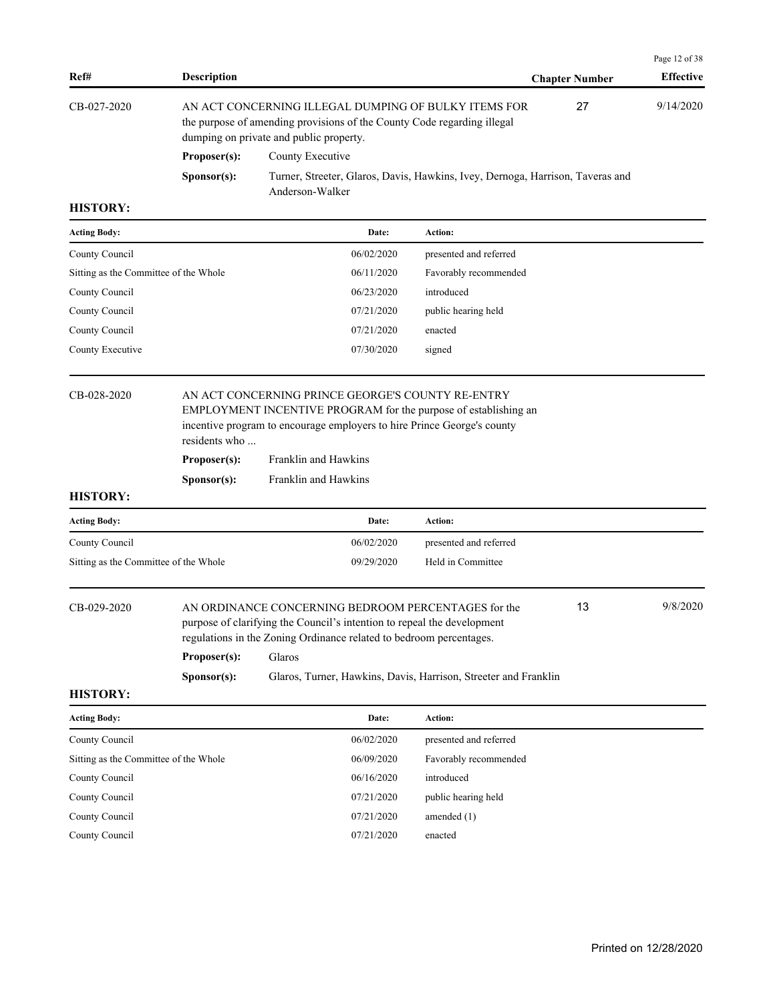| Ref#        | <b>Description</b>                                                                                                                                                         |                                                                                                   | <b>Chapter Number</b> | <b>Effective</b> |
|-------------|----------------------------------------------------------------------------------------------------------------------------------------------------------------------------|---------------------------------------------------------------------------------------------------|-----------------------|------------------|
| CB-027-2020 | AN ACT CONCERNING ILLEGAL DUMPING OF BULKY ITEMS FOR<br>the purpose of amending provisions of the County Code regarding illegal<br>dumping on private and public property. |                                                                                                   | 27                    | 9/14/2020        |
|             | Proposer(s):                                                                                                                                                               | County Executive                                                                                  |                       |                  |
|             | S <b>p</b> onsor(s):                                                                                                                                                       | Turner, Streeter, Glaros, Davis, Hawkins, Ivey, Dernoga, Harrison, Taveras and<br>Anderson-Walker |                       |                  |

| <b>Acting Body:</b>                   | Date:      | <b>Action:</b>         |
|---------------------------------------|------------|------------------------|
| County Council                        | 06/02/2020 | presented and referred |
| Sitting as the Committee of the Whole | 06/11/2020 | Favorably recommended  |
| County Council                        | 06/23/2020 | introduced             |
| County Council                        | 07/21/2020 | public hearing held    |
| County Council                        | 07/21/2020 | enacted                |
| County Executive                      | 07/30/2020 | signed                 |
|                                       |            |                        |

## CB-028-2020 AN ACT CONCERNING PRINCE GEORGE'S COUNTY RE-ENTRY EMPLOYMENT INCENTIVE PROGRAM for the purpose of establishing an incentive program to encourage employers to hire Prince George's county residents who ...

| Proposer(s):         | Franklin and Hawkins |
|----------------------|----------------------|
| S <b>p</b> onsor(s): | Franklin and Hawkins |

#### **HISTORY:**

| <b>Acting Body:</b>                   | Date:      | Action:                |
|---------------------------------------|------------|------------------------|
| County Council                        | 06/02/2020 | presented and referred |
| Sitting as the Committee of the Whole | 09/29/2020 | Held in Committee      |

| CB-029-2020 |              | AN ORDINANCE CONCERNING BEDROOM PERCENTAGES for the<br>purpose of clarifying the Council's intention to repeal the development<br>regulations in the Zoning Ordinance related to be droom percentages. | 13 | 9/8/2020 |
|-------------|--------------|--------------------------------------------------------------------------------------------------------------------------------------------------------------------------------------------------------|----|----------|
|             | Proposer(s): | Glaros                                                                                                                                                                                                 |    |          |

**Sponsor(s):** Glaros, Turner, Hawkins, Davis, Harrison, Streeter and Franklin

#### **HISTORY:**

| <b>Acting Body:</b>                   | Date:      | Action:                |
|---------------------------------------|------------|------------------------|
| County Council                        | 06/02/2020 | presented and referred |
| Sitting as the Committee of the Whole | 06/09/2020 | Favorably recommended  |
| County Council                        | 06/16/2020 | introduced             |
| County Council                        | 07/21/2020 | public hearing held    |
| County Council                        | 07/21/2020 | amended $(1)$          |
| County Council                        | 07/21/2020 | enacted                |

Page 12 of 38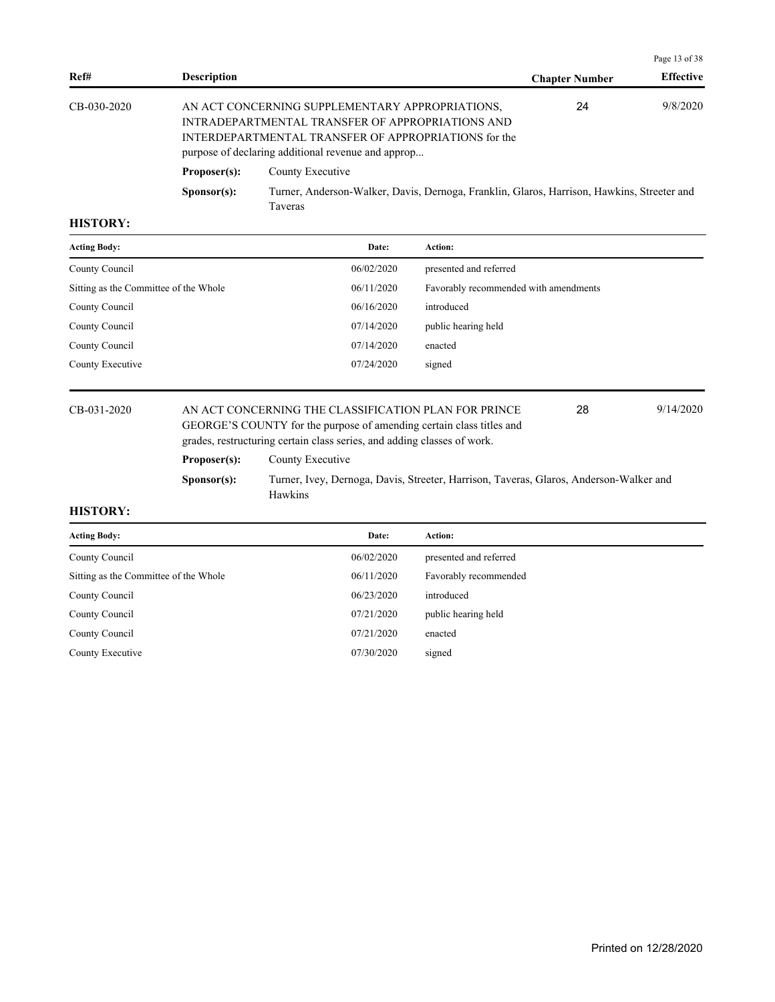|             |                      |                                                                                                                                                                                                                   |                       | Page 13 of 38    |
|-------------|----------------------|-------------------------------------------------------------------------------------------------------------------------------------------------------------------------------------------------------------------|-----------------------|------------------|
| Ref#        | <b>Description</b>   |                                                                                                                                                                                                                   | <b>Chapter Number</b> | <b>Effective</b> |
| CB-030-2020 |                      | AN ACT CONCERNING SUPPLEMENTARY APPROPRIATIONS,<br>INTRADEPARTMENTAL TRANSFER OF APPROPRIATIONS AND<br>INTERDEPARTMENTAL TRANSFER OF APPROPRIATIONS for the<br>purpose of declaring additional revenue and approp | 24                    | 9/8/2020         |
|             | Proposer(s):         | County Executive                                                                                                                                                                                                  |                       |                  |
|             | S <b>p</b> onsor(s): | Turner, Anderson-Walker, Davis, Dernoga, Franklin, Glaros, Harrison, Hawkins, Streeter and<br>Taveras                                                                                                             |                       |                  |

| <b>Acting Body:</b>                   | Date:      | Action:                               |
|---------------------------------------|------------|---------------------------------------|
| County Council                        | 06/02/2020 | presented and referred                |
| Sitting as the Committee of the Whole | 06/11/2020 | Favorably recommended with amendments |
| County Council                        | 06/16/2020 | introduced                            |
| County Council                        | 07/14/2020 | public hearing held                   |
| County Council                        | 07/14/2020 | enacted                               |
| County Executive                      | 07/24/2020 | signed                                |
|                                       |            |                                       |

## CB-031-2020 AN ACT CONCERNING THE CLASSIFICATION PLAN FOR PRINCE 28 9/14/2020 GEORGE'S COUNTY for the purpose of amending certain class titles and grades, restructuring certain class series, and adding classes of work.

28

## **Proposer(s):** County Executive

**Sponsor(s):** Turner, Ivey, Dernoga, Davis, Streeter, Harrison, Taveras, Glaros, Anderson-Walker and Hawkins

| <b>Acting Body:</b>                   | Date:      | Action:                |
|---------------------------------------|------------|------------------------|
| County Council                        | 06/02/2020 | presented and referred |
| Sitting as the Committee of the Whole | 06/11/2020 | Favorably recommended  |
| County Council                        | 06/23/2020 | introduced             |
| County Council                        | 07/21/2020 | public hearing held    |
| County Council                        | 07/21/2020 | enacted                |
| County Executive                      | 07/30/2020 | signed                 |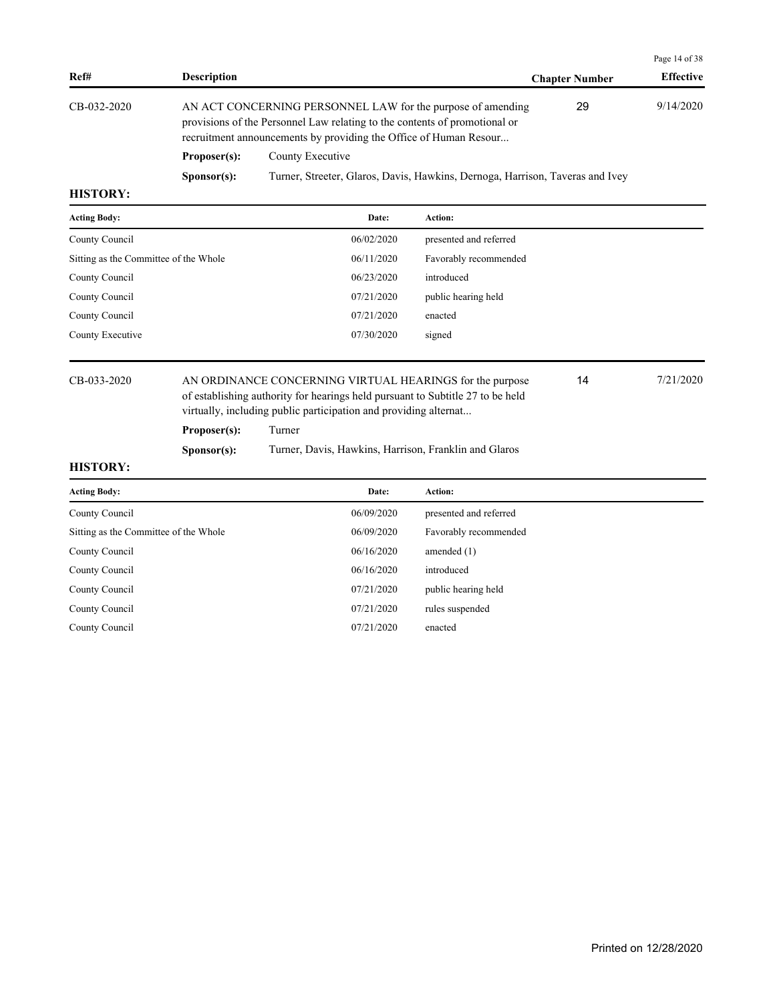|                 |                      |                                                                                                                                                                                                                |                       | Page 14 of 38    |
|-----------------|----------------------|----------------------------------------------------------------------------------------------------------------------------------------------------------------------------------------------------------------|-----------------------|------------------|
| Ref#            | <b>Description</b>   |                                                                                                                                                                                                                | <b>Chapter Number</b> | <b>Effective</b> |
| CB-032-2020     |                      | AN ACT CONCERNING PERSONNEL LAW for the purpose of amending<br>provisions of the Personnel Law relating to the contents of promotional or<br>recruitment announcements by providing the Office of Human Resour | 29                    | 9/14/2020        |
|                 | Proposer(s):         | County Executive                                                                                                                                                                                               |                       |                  |
|                 | S <b>p</b> onsor(s): | Turner, Streeter, Glaros, Davis, Hawkins, Dernoga, Harrison, Taveras and Ivey                                                                                                                                  |                       |                  |
| <b>HISTORY:</b> |                      |                                                                                                                                                                                                                |                       |                  |

| <b>Acting Body:</b>                   | Date:                                                                                                                                            | Action:                |           |  |
|---------------------------------------|--------------------------------------------------------------------------------------------------------------------------------------------------|------------------------|-----------|--|
| County Council                        | 06/02/2020                                                                                                                                       | presented and referred |           |  |
| Sitting as the Committee of the Whole | 06/11/2020                                                                                                                                       | Favorably recommended  |           |  |
| County Council                        | 06/23/2020                                                                                                                                       | introduced             |           |  |
| County Council                        | 07/21/2020                                                                                                                                       | public hearing held    |           |  |
| County Council                        | 07/21/2020                                                                                                                                       | enacted                |           |  |
| County Executive                      | 07/30/2020                                                                                                                                       | signed                 |           |  |
| CB-033-2020                           | 14<br>AN ORDINANCE CONCERNING VIRTUAL HEARINGS for the purpose<br>of establishing authority for hearings held pursuant to Subtitle 27 to be held |                        | 7/21/2020 |  |

virtually, including public participation and providing alternat...

**Proposer(s):** Turner

**Sponsor(s):** Turner, Davis, Hawkins, Harrison, Franklin and Glaros

| <b>Acting Body:</b>                   | Date:      | <b>Action:</b>         |
|---------------------------------------|------------|------------------------|
| County Council                        | 06/09/2020 | presented and referred |
| Sitting as the Committee of the Whole | 06/09/2020 | Favorably recommended  |
| County Council                        | 06/16/2020 | amended $(1)$          |
| County Council                        | 06/16/2020 | introduced             |
| County Council                        | 07/21/2020 | public hearing held    |
| County Council                        | 07/21/2020 | rules suspended        |
| County Council                        | 07/21/2020 | enacted                |
|                                       |            |                        |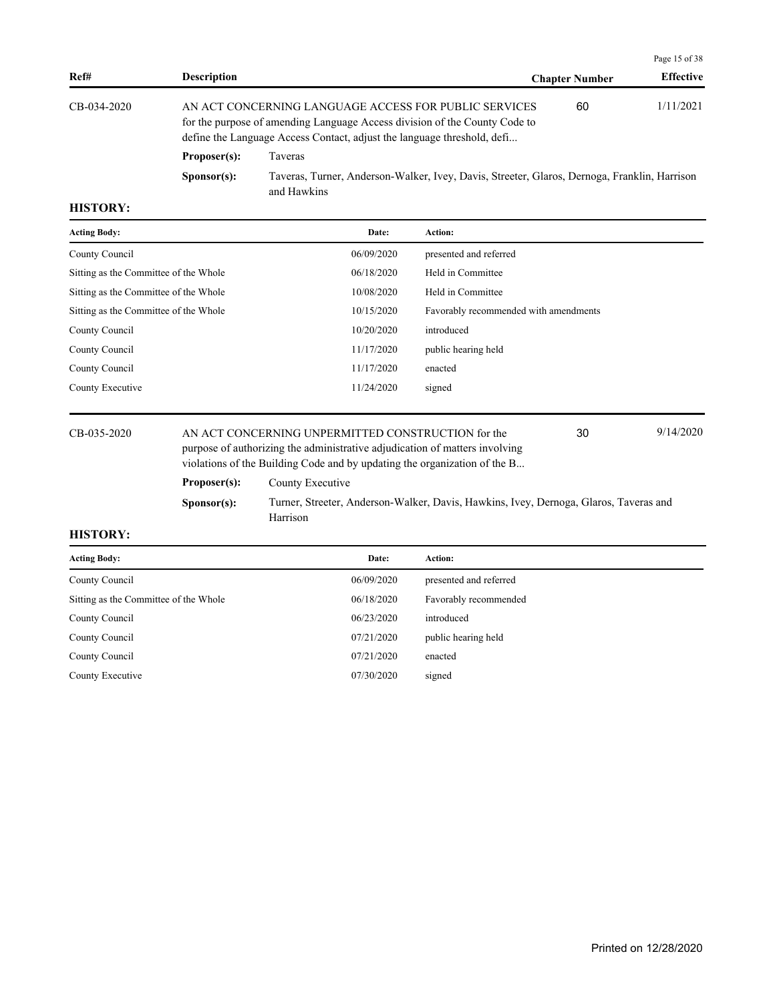|                |                      |                                                                                                                                                                                                                |                       | Page 15 of 38    |
|----------------|----------------------|----------------------------------------------------------------------------------------------------------------------------------------------------------------------------------------------------------------|-----------------------|------------------|
| Ref#           | <b>Description</b>   |                                                                                                                                                                                                                | <b>Chapter Number</b> | <b>Effective</b> |
| $CB-0.34-2020$ |                      | AN ACT CONCERNING LANGUAGE ACCESS FOR PUBLIC SERVICES<br>for the purpose of amending Language Access division of the County Code to<br>define the Language Access Contact, adjust the language threshold, defi | 60                    | 1/11/2021        |
|                | Proposer(s):         | Taveras                                                                                                                                                                                                        |                       |                  |
|                | S <b>p</b> onsor(s): | Taveras, Turner, Anderson-Walker, Ivey, Davis, Streeter, Glaros, Dernoga, Franklin, Harrison<br>and Hawkins                                                                                                    |                       |                  |

| <b>Acting Body:</b>                   | Date:      | <b>Action:</b>                        |
|---------------------------------------|------------|---------------------------------------|
| County Council                        | 06/09/2020 | presented and referred                |
| Sitting as the Committee of the Whole | 06/18/2020 | Held in Committee                     |
| Sitting as the Committee of the Whole | 10/08/2020 | Held in Committee                     |
| Sitting as the Committee of the Whole | 10/15/2020 | Favorably recommended with amendments |
| County Council                        | 10/20/2020 | introduced                            |
| County Council                        | 11/17/2020 | public hearing held                   |
| County Council                        | 11/17/2020 | enacted                               |
| County Executive                      | 11/24/2020 | signed                                |
|                                       |            |                                       |

CB-035-2020 AN ACT CONCERNING UNPERMITTED CONSTRUCTION for the 30 9/14/2020 purpose of authorizing the administrative adjudication of matters involving

30

|              | violations of the Building Code and by updating the organization of the B |                                                                                       |
|--------------|---------------------------------------------------------------------------|---------------------------------------------------------------------------------------|
| Proposer(s): | County Executive                                                          |                                                                                       |
| Sponsor(s):  | Harrison                                                                  | Turner, Streeter, Anderson-Walker, Davis, Hawkins, Ivey, Dernoga, Glaros, Taveras and |

| <b>Acting Body:</b>                   | Date:      | <b>Action:</b>         |
|---------------------------------------|------------|------------------------|
| County Council                        | 06/09/2020 | presented and referred |
| Sitting as the Committee of the Whole | 06/18/2020 | Favorably recommended  |
| County Council                        | 06/23/2020 | introduced             |
| County Council                        | 07/21/2020 | public hearing held    |
| County Council                        | 07/21/2020 | enacted                |
| County Executive                      | 07/30/2020 | signed                 |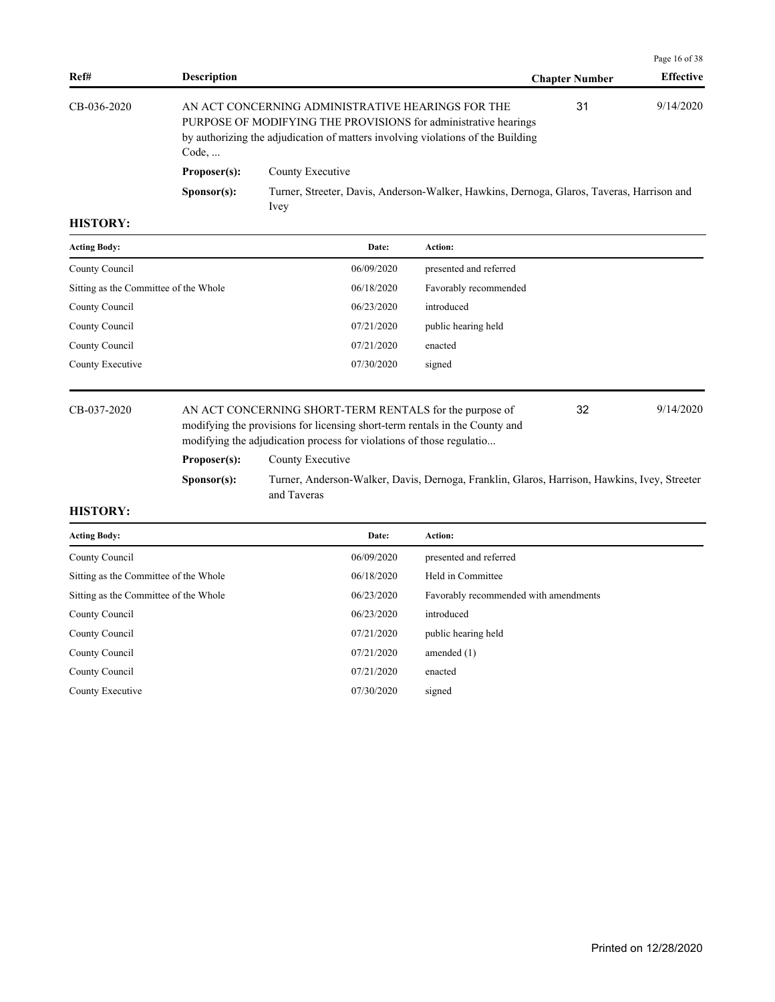|             |                                                                                                                                                                                                                  |                                                                                                   |                       | Page 16 of 38    |
|-------------|------------------------------------------------------------------------------------------------------------------------------------------------------------------------------------------------------------------|---------------------------------------------------------------------------------------------------|-----------------------|------------------|
| Ref#        | <b>Description</b>                                                                                                                                                                                               |                                                                                                   | <b>Chapter Number</b> | <b>Effective</b> |
| CB-036-2020 | AN ACT CONCERNING ADMINISTRATIVE HEARINGS FOR THE<br>PURPOSE OF MODIFYING THE PROVISIONS for administrative hearings<br>by authorizing the adjudication of matters involving violations of the Building<br>Code, |                                                                                                   | 31                    | 9/14/2020        |
|             | Proposer(s):                                                                                                                                                                                                     | County Executive                                                                                  |                       |                  |
|             | S <b>p</b> onsor(s):                                                                                                                                                                                             | Turner, Streeter, Davis, Anderson-Walker, Hawkins, Dernoga, Glaros, Taveras, Harrison and<br>Ivey |                       |                  |

| <b>Acting Body:</b>                   | Date:      | Action:                |
|---------------------------------------|------------|------------------------|
| County Council                        | 06/09/2020 | presented and referred |
| Sitting as the Committee of the Whole | 06/18/2020 | Favorably recommended  |
| County Council                        | 06/23/2020 | introduced             |
| County Council                        | 07/21/2020 | public hearing held    |
| County Council                        | 07/21/2020 | enacted                |
| County Executive                      | 07/30/2020 | signed                 |

CB-037-2020 AN ACT CONCERNING SHORT-TERM RENTALS for the purpose of 9/14/2020 modifying the provisions for licensing short-term rentals in the County and modifying the adjudication process for violations of those regulatio...

32

## **Proposer(s):** County Executive

**Sponsor(s):** Turner, Anderson-Walker, Davis, Dernoga, Franklin, Glaros, Harrison, Hawkins, Ivey, Streeter and Taveras

| <b>Acting Body:</b>                   | Date:      | <b>Action:</b>                        |
|---------------------------------------|------------|---------------------------------------|
| County Council                        | 06/09/2020 | presented and referred                |
| Sitting as the Committee of the Whole | 06/18/2020 | Held in Committee                     |
| Sitting as the Committee of the Whole | 06/23/2020 | Favorably recommended with amendments |
| County Council                        | 06/23/2020 | introduced                            |
| County Council                        | 07/21/2020 | public hearing held                   |
| County Council                        | 07/21/2020 | amended $(1)$                         |
| County Council                        | 07/21/2020 | enacted                               |
| County Executive                      | 07/30/2020 | signed                                |
|                                       |            |                                       |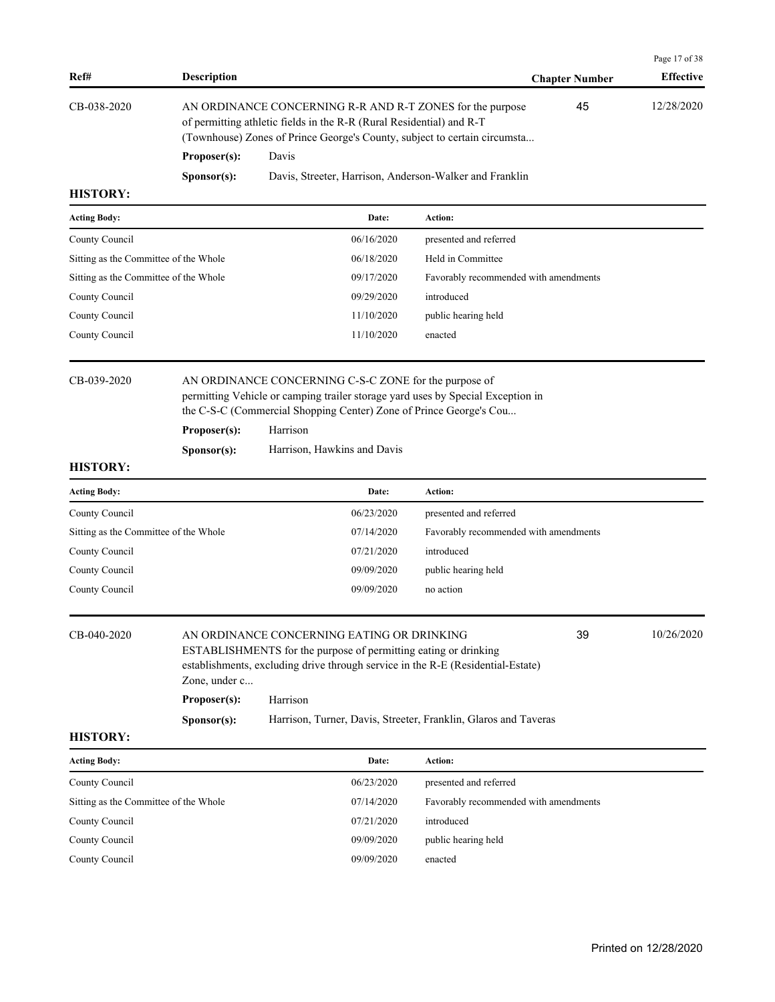| Ref#                                  | <b>Description</b> |                                                                                                                                                                                                                            |                                                     | <b>Chapter Number</b> | Page 17 of 38<br><b>Effective</b> |
|---------------------------------------|--------------------|----------------------------------------------------------------------------------------------------------------------------------------------------------------------------------------------------------------------------|-----------------------------------------------------|-----------------------|-----------------------------------|
| CB-038-2020                           |                    | AN ORDINANCE CONCERNING R-R AND R-T ZONES for the purpose<br>of permitting athletic fields in the R-R (Rural Residential) and R-T<br>(Townhouse) Zones of Prince George's County, subject to certain circumsta             |                                                     | 45                    | 12/28/2020                        |
|                                       | Proposer(s):       | Davis                                                                                                                                                                                                                      |                                                     |                       |                                   |
|                                       | Sponsor(s):        | Davis, Streeter, Harrison, Anderson-Walker and Franklin                                                                                                                                                                    |                                                     |                       |                                   |
| <b>HISTORY:</b>                       |                    |                                                                                                                                                                                                                            |                                                     |                       |                                   |
| <b>Acting Body:</b>                   |                    | Date:                                                                                                                                                                                                                      | Action:                                             |                       |                                   |
| County Council                        |                    | 06/16/2020                                                                                                                                                                                                                 | presented and referred                              |                       |                                   |
| Sitting as the Committee of the Whole |                    | 06/18/2020                                                                                                                                                                                                                 | Held in Committee                                   |                       |                                   |
| Sitting as the Committee of the Whole |                    | 09/17/2020                                                                                                                                                                                                                 | Favorably recommended with amendments               |                       |                                   |
| County Council                        |                    | 09/29/2020                                                                                                                                                                                                                 | introduced                                          |                       |                                   |
| County Council                        |                    | 11/10/2020                                                                                                                                                                                                                 | public hearing held                                 |                       |                                   |
| County Council                        |                    | 11/10/2020                                                                                                                                                                                                                 | enacted                                             |                       |                                   |
| CB-039-2020                           |                    | AN ORDINANCE CONCERNING C-S-C ZONE for the purpose of<br>permitting Vehicle or camping trailer storage yard uses by Special Exception in<br>the C-S-C (Commercial Shopping Center) Zone of Prince George's Cou<br>Harrison |                                                     |                       |                                   |
|                                       | Proposer(s):       |                                                                                                                                                                                                                            |                                                     |                       |                                   |
| <b>HISTORY:</b>                       | Sponsor(s):        | Harrison, Hawkins and Davis                                                                                                                                                                                                |                                                     |                       |                                   |
|                                       |                    |                                                                                                                                                                                                                            |                                                     |                       |                                   |
| <b>Acting Body:</b>                   |                    | Date:                                                                                                                                                                                                                      | Action:                                             |                       |                                   |
| County Council                        |                    | 06/23/2020                                                                                                                                                                                                                 | presented and referred                              |                       |                                   |
| Sitting as the Committee of the Whole |                    | 07/14/2020<br>07/21/2020                                                                                                                                                                                                   | Favorably recommended with amendments<br>introduced |                       |                                   |
| County Council<br>County Council      |                    | 09/09/2020                                                                                                                                                                                                                 | public hearing held                                 |                       |                                   |
| County Council                        |                    | 09/09/2020                                                                                                                                                                                                                 | no action                                           |                       |                                   |
| CB-040-2020                           |                    | AN ORDINANCE CONCERNING EATING OR DRINKING<br>ESTABLISHMENTS for the purpose of permitting eating or drinking<br>establishments, excluding drive through service in the R-E (Residential-Estate)                           |                                                     | 39                    | 10/26/2020                        |
|                                       | Zone, under c      |                                                                                                                                                                                                                            |                                                     |                       |                                   |
|                                       | Proposer(s):       | Harrison                                                                                                                                                                                                                   |                                                     |                       |                                   |
| <b>HISTORY:</b>                       | Sponsor(s):        | Harrison, Turner, Davis, Streeter, Franklin, Glaros and Taveras                                                                                                                                                            |                                                     |                       |                                   |
| <b>Acting Body:</b>                   |                    | Date:                                                                                                                                                                                                                      | Action:                                             |                       |                                   |
|                                       |                    | 06/23/2020                                                                                                                                                                                                                 | presented and referred                              |                       |                                   |
| County Council                        |                    |                                                                                                                                                                                                                            |                                                     |                       |                                   |
| Sitting as the Committee of the Whole |                    | 07/14/2020                                                                                                                                                                                                                 | Favorably recommended with amendments               |                       |                                   |
| County Council                        |                    | 07/21/2020                                                                                                                                                                                                                 | introduced                                          |                       |                                   |
| County Council                        |                    | 09/09/2020                                                                                                                                                                                                                 | public hearing held                                 |                       |                                   |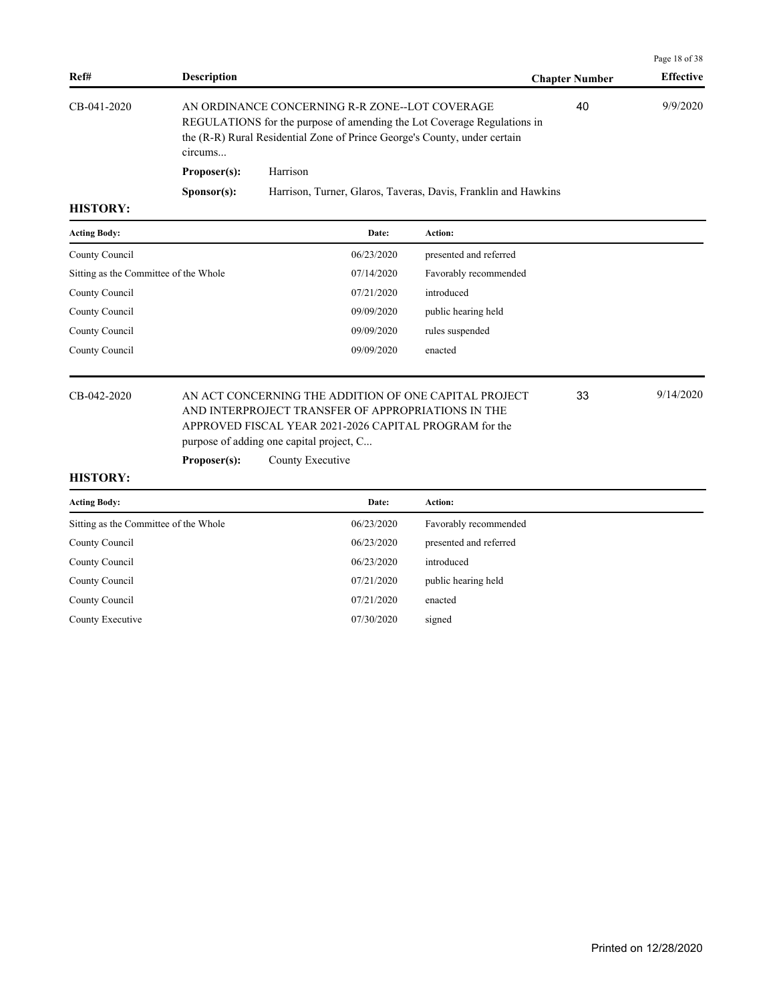|                 |                                                                                                                                                                                                                   |                                                                |                       | Page 18 of 38    |  |
|-----------------|-------------------------------------------------------------------------------------------------------------------------------------------------------------------------------------------------------------------|----------------------------------------------------------------|-----------------------|------------------|--|
| Ref#            | <b>Description</b>                                                                                                                                                                                                |                                                                | <b>Chapter Number</b> | <b>Effective</b> |  |
| CB-041-2020     | AN ORDINANCE CONCERNING R-R ZONE--LOT COVERAGE<br>REGULATIONS for the purpose of amending the Lot Coverage Regulations in<br>the (R-R) Rural Residential Zone of Prince George's County, under certain<br>circums |                                                                | 40                    | 9/9/2020         |  |
|                 | Proposer(s):                                                                                                                                                                                                      | Harrison                                                       |                       |                  |  |
|                 | S <b>p</b> onsor(s):                                                                                                                                                                                              | Harrison, Turner, Glaros, Taveras, Davis, Franklin and Hawkins |                       |                  |  |
| <b>TTTOMODY</b> |                                                                                                                                                                                                                   |                                                                |                       |                  |  |

| <b>Acting Body:</b>                   | Date:      | <b>Action:</b>         |
|---------------------------------------|------------|------------------------|
| County Council                        | 06/23/2020 | presented and referred |
| Sitting as the Committee of the Whole | 07/14/2020 | Favorably recommended  |
| County Council                        | 07/21/2020 | introduced             |
| County Council                        | 09/09/2020 | public hearing held    |
| County Council                        | 09/09/2020 | rules suspended        |
| County Council                        | 09/09/2020 | enacted                |
|                                       |            |                        |

## CB-042-2020 AN ACT CONCERNING THE ADDITION OF ONE CAPITAL PROJECT 33 9/14/2020 AND INTERPROJECT TRANSFER OF APPROPRIATIONS IN THE APPROVED FISCAL YEAR 2021-2026 CAPITAL PROGRAM for the purpose of adding one capital project, C...

**Proposer(s):** County Executive

#### **HISTORY:**

| <b>Acting Body:</b>                   | Date:      | Action:                |
|---------------------------------------|------------|------------------------|
| Sitting as the Committee of the Whole | 06/23/2020 | Favorably recommended  |
| County Council                        | 06/23/2020 | presented and referred |
| County Council                        | 06/23/2020 | introduced             |
| County Council                        | 07/21/2020 | public hearing held    |
| County Council                        | 07/21/2020 | enacted                |
| County Executive                      | 07/30/2020 | signed                 |

33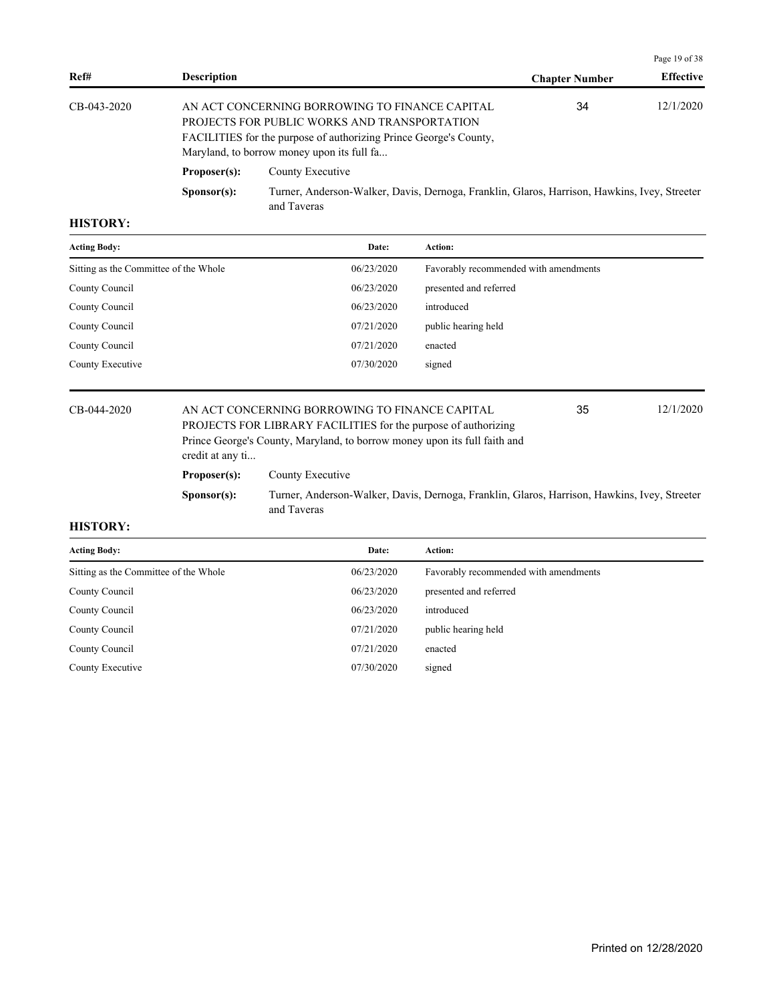|             |                      |                                                                                                                                                                                                                   |                       | Page 19 of 38    |  |
|-------------|----------------------|-------------------------------------------------------------------------------------------------------------------------------------------------------------------------------------------------------------------|-----------------------|------------------|--|
| Ref#        | <b>Description</b>   |                                                                                                                                                                                                                   | <b>Chapter Number</b> | <b>Effective</b> |  |
| CB-043-2020 |                      | AN ACT CONCERNING BORROWING TO FINANCE CAPITAL<br>PROJECTS FOR PUBLIC WORKS AND TRANSPORTATION<br>FACILITIES for the purpose of authorizing Prince George's County,<br>Maryland, to borrow money upon its full fa | 34                    | 12/1/2020        |  |
|             | Proposer(s):         | County Executive                                                                                                                                                                                                  |                       |                  |  |
|             | S <b>p</b> onsor(s): | Turner, Anderson-Walker, Davis, Dernoga, Franklin, Glaros, Harrison, Hawkins, Ivey, Streeter<br>and Taveras                                                                                                       |                       |                  |  |

| <b>Acting Body:</b>                   | Date:      | Action:                               |
|---------------------------------------|------------|---------------------------------------|
| Sitting as the Committee of the Whole | 06/23/2020 | Favorably recommended with amendments |
| County Council                        | 06/23/2020 | presented and referred                |
| County Council                        | 06/23/2020 | introduced                            |
| County Council                        | 07/21/2020 | public hearing held                   |
| County Council                        | 07/21/2020 | enacted                               |
| County Executive                      | 07/30/2020 | signed                                |

CB-044-2020 AN ACT CONCERNING BORROWING TO FINANCE CAPITAL 35 12/1/2020 PROJECTS FOR LIBRARY FACILITIES for the purpose of authorizing Prince George's County, Maryland, to borrow money upon its full faith and credit at any ti... 35 Proposer(s): County Executive **Sponsor(s):** Turner, Anderson-Walker, Davis, Dernoga, Franklin, Glaros, Harrison, Hawkins, Ivey, Streeter and Taveras

| <b>Acting Body:</b>                   | Date:      | <b>Action:</b>                        |
|---------------------------------------|------------|---------------------------------------|
| Sitting as the Committee of the Whole | 06/23/2020 | Favorably recommended with amendments |
| County Council                        | 06/23/2020 | presented and referred                |
| County Council                        | 06/23/2020 | introduced                            |
| County Council                        | 07/21/2020 | public hearing held                   |
| County Council                        | 07/21/2020 | enacted                               |
| County Executive                      | 07/30/2020 | signed                                |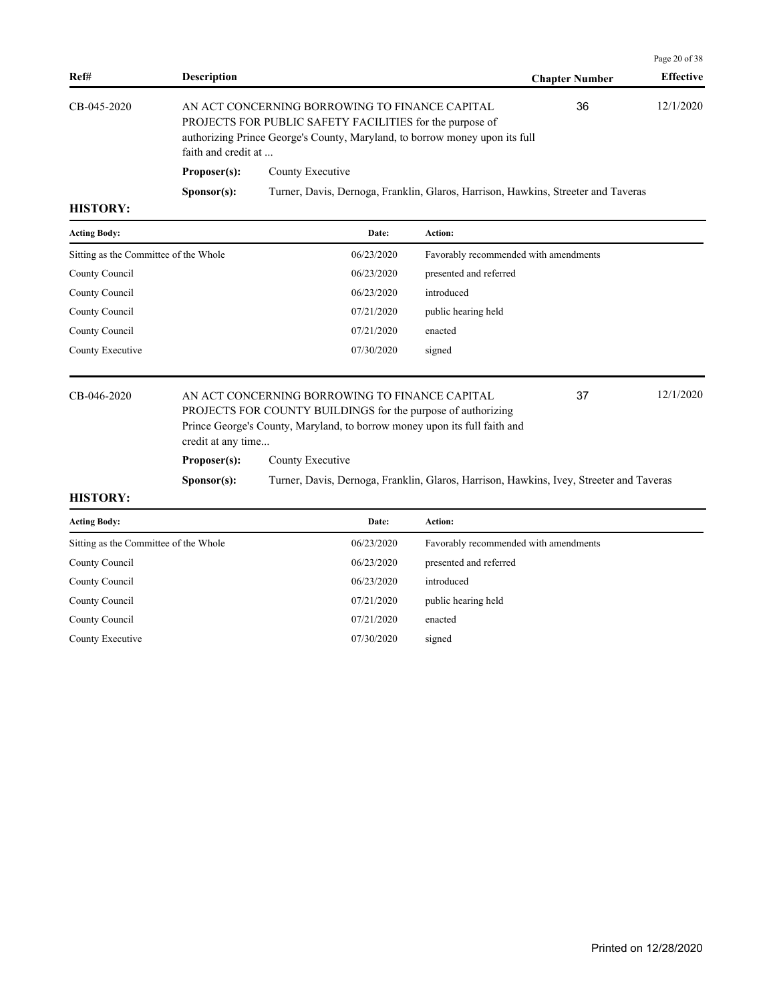|                 |                      |                                                                                                                                                                                           |                       | Page 20 of 38    |
|-----------------|----------------------|-------------------------------------------------------------------------------------------------------------------------------------------------------------------------------------------|-----------------------|------------------|
| Ref#            | <b>Description</b>   |                                                                                                                                                                                           | <b>Chapter Number</b> | <b>Effective</b> |
| CB-045-2020     | faith and credit at  | AN ACT CONCERNING BORROWING TO FINANCE CAPITAL<br>PROJECTS FOR PUBLIC SAFETY FACILITIES for the purpose of<br>authorizing Prince George's County, Maryland, to borrow money upon its full | 36                    | 12/1/2020        |
|                 | Proposer(s):         | County Executive                                                                                                                                                                          |                       |                  |
|                 | S <b>p</b> onsor(s): | Turner, Davis, Dernoga, Franklin, Glaros, Harrison, Hawkins, Streeter and Taveras                                                                                                         |                       |                  |
| <b>HICTODV.</b> |                      |                                                                                                                                                                                           |                       |                  |

| <b>Acting Body:</b>                   | Date:      | <b>Action:</b>                        |
|---------------------------------------|------------|---------------------------------------|
| Sitting as the Committee of the Whole | 06/23/2020 | Favorably recommended with amendments |
| County Council                        | 06/23/2020 | presented and referred                |
| County Council                        | 06/23/2020 | introduced                            |
| County Council                        | 07/21/2020 | public hearing held                   |
| County Council                        | 07/21/2020 | enacted                               |
| County Executive                      | 07/30/2020 | signed                                |

## CB-046-2020 AN ACT CONCERNING BORROWING TO FINANCE CAPITAL 37 12/1/2020 PROJECTS FOR COUNTY BUILDINGS for the purpose of authorizing Prince George's County, Maryland, to borrow money upon its full faith and credit at any time...

**Proposer(s):** County Executive

**Sponsor(s):** Turner, Davis, Dernoga, Franklin, Glaros, Harrison, Hawkins, Ivey, Streeter and Taveras

37

| <b>Acting Body:</b>                   | Date:      | Action:                               |
|---------------------------------------|------------|---------------------------------------|
| Sitting as the Committee of the Whole | 06/23/2020 | Favorably recommended with amendments |
| County Council                        | 06/23/2020 | presented and referred                |
| County Council                        | 06/23/2020 | introduced                            |
| County Council                        | 07/21/2020 | public hearing held                   |
| County Council                        | 07/21/2020 | enacted                               |
| County Executive                      | 07/30/2020 | signed                                |
|                                       |            |                                       |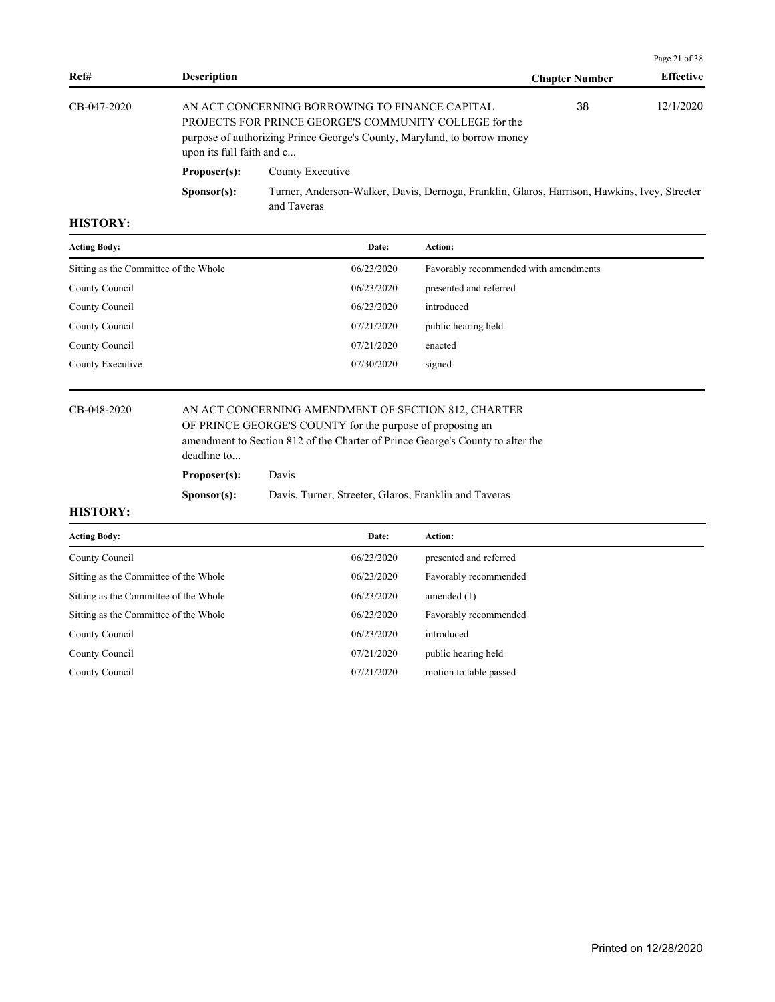|               |                           |                                                                                                                                                                                             |                       | Page 21 of 38    |
|---------------|---------------------------|---------------------------------------------------------------------------------------------------------------------------------------------------------------------------------------------|-----------------------|------------------|
| Ref#          | <b>Description</b>        |                                                                                                                                                                                             | <b>Chapter Number</b> | <b>Effective</b> |
| $CB-047-2020$ | upon its full faith and c | AN ACT CONCERNING BORROWING TO FINANCE CAPITAL<br><b>PROJECTS FOR PRINCE GEORGE'S COMMUNITY COLLEGE for the</b><br>purpose of authorizing Prince George's County, Maryland, to borrow money | 38                    | 12/1/2020        |
|               | Proposer(s):              | County Executive                                                                                                                                                                            |                       |                  |
|               | S <b>p</b> onsor(s):      | Turner, Anderson-Walker, Davis, Dernoga, Franklin, Glaros, Harrison, Hawkins, Ivey, Streeter<br>and Taveras                                                                                 |                       |                  |

| <b>Acting Body:</b>                   | Date:      | Action:                               |
|---------------------------------------|------------|---------------------------------------|
| Sitting as the Committee of the Whole | 06/23/2020 | Favorably recommended with amendments |
| County Council                        | 06/23/2020 | presented and referred                |
| County Council                        | 06/23/2020 | introduced                            |
| County Council                        | 07/21/2020 | public hearing held                   |
| County Council                        | 07/21/2020 | enacted                               |
| County Executive                      | 07/30/2020 | signed                                |
|                                       |            |                                       |

### CB-048-2020 AN ACT CONCERNING AMENDMENT OF SECTION 812, CHARTER OF PRINCE GEORGE'S COUNTY for the purpose of proposing an

amendment to Section 812 of the Charter of Prince George's County to alter the deadline to...

**Proposer(s):** Davis

### **Sponsor(s):** Davis, Turner, Streeter, Glaros, Franklin and Taveras

| <b>Acting Body:</b>                   | Date:      | Action:                |
|---------------------------------------|------------|------------------------|
| County Council                        | 06/23/2020 | presented and referred |
| Sitting as the Committee of the Whole | 06/23/2020 | Favorably recommended  |
| Sitting as the Committee of the Whole | 06/23/2020 | amended $(1)$          |
| Sitting as the Committee of the Whole | 06/23/2020 | Favorably recommended  |
| County Council                        | 06/23/2020 | introduced             |
| County Council                        | 07/21/2020 | public hearing held    |
| County Council                        | 07/21/2020 | motion to table passed |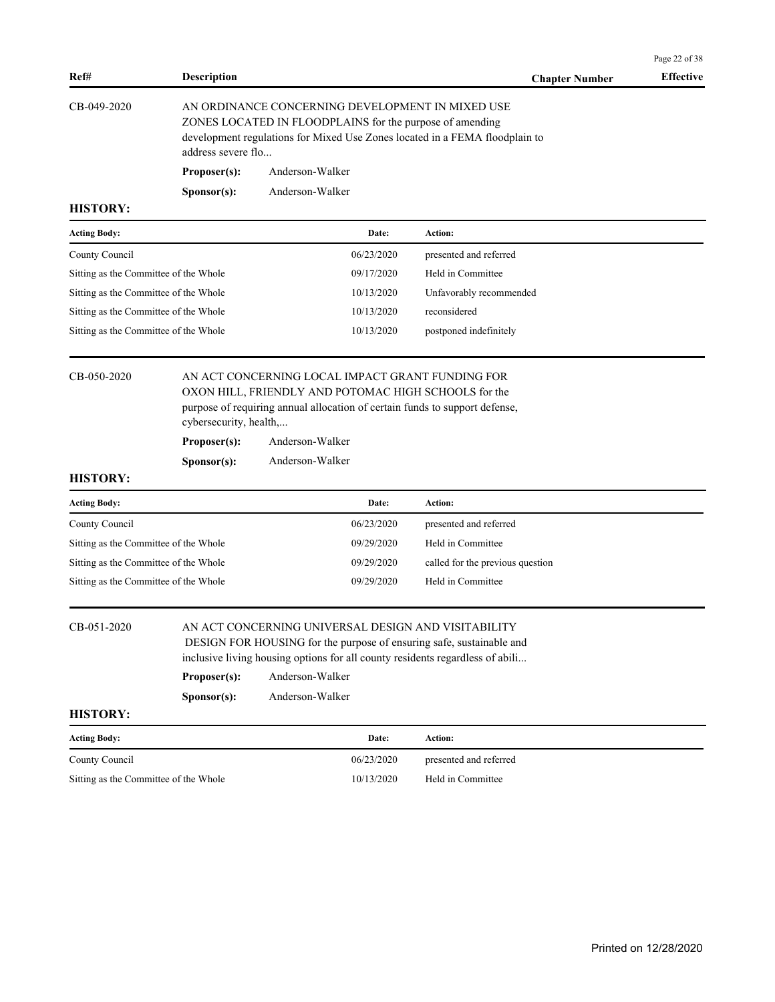|                                                                                |                                      |                                                                                                                                                                                                                                                    |                                                       | Page 22 of 38    |
|--------------------------------------------------------------------------------|--------------------------------------|----------------------------------------------------------------------------------------------------------------------------------------------------------------------------------------------------------------------------------------------------|-------------------------------------------------------|------------------|
| Ref#                                                                           | <b>Description</b>                   |                                                                                                                                                                                                                                                    | <b>Chapter Number</b>                                 | <b>Effective</b> |
| CB-049-2020                                                                    | address severe flo                   | AN ORDINANCE CONCERNING DEVELOPMENT IN MIXED USE<br>ZONES LOCATED IN FLOODPLAINS for the purpose of amending<br>development regulations for Mixed Use Zones located in a FEMA floodplain to                                                        |                                                       |                  |
|                                                                                | Proposer(s):                         | Anderson-Walker                                                                                                                                                                                                                                    |                                                       |                  |
|                                                                                | Sponsor(s):                          | Anderson-Walker                                                                                                                                                                                                                                    |                                                       |                  |
| <b>HISTORY:</b>                                                                |                                      |                                                                                                                                                                                                                                                    |                                                       |                  |
| <b>Acting Body:</b>                                                            |                                      | Date:                                                                                                                                                                                                                                              | Action:                                               |                  |
| County Council                                                                 |                                      | 06/23/2020                                                                                                                                                                                                                                         | presented and referred                                |                  |
| Sitting as the Committee of the Whole                                          |                                      | 09/17/2020                                                                                                                                                                                                                                         | Held in Committee                                     |                  |
| Sitting as the Committee of the Whole                                          |                                      | 10/13/2020                                                                                                                                                                                                                                         | Unfavorably recommended                               |                  |
| Sitting as the Committee of the Whole                                          |                                      | 10/13/2020                                                                                                                                                                                                                                         | reconsidered                                          |                  |
| Sitting as the Committee of the Whole                                          |                                      | 10/13/2020                                                                                                                                                                                                                                         | postponed indefinitely                                |                  |
| CB-050-2020                                                                    | Proposer(s):                         | AN ACT CONCERNING LOCAL IMPACT GRANT FUNDING FOR<br>OXON HILL, FRIENDLY AND POTOMAC HIGH SCHOOLS for the<br>purpose of requiring annual allocation of certain funds to support defense,<br>cybersecurity, health,<br>Anderson-Walker               |                                                       |                  |
| <b>HISTORY:</b>                                                                | S <b>p</b> onsor(s):                 | Anderson-Walker                                                                                                                                                                                                                                    |                                                       |                  |
|                                                                                |                                      | Date:                                                                                                                                                                                                                                              | Action:                                               |                  |
| <b>Acting Body:</b>                                                            |                                      | 06/23/2020                                                                                                                                                                                                                                         |                                                       |                  |
| County Council                                                                 |                                      | 09/29/2020                                                                                                                                                                                                                                         | presented and referred                                |                  |
| Sitting as the Committee of the Whole<br>Sitting as the Committee of the Whole |                                      | 09/29/2020                                                                                                                                                                                                                                         | Held in Committee                                     |                  |
|                                                                                |                                      |                                                                                                                                                                                                                                                    | called for the previous question<br>Held in Committee |                  |
| Sitting as the Committee of the Whole                                          |                                      | 09/29/2020                                                                                                                                                                                                                                         |                                                       |                  |
| CB-051-2020                                                                    | Proposer(s):<br>S <b>p</b> onsor(s): | AN ACT CONCERNING UNIVERSAL DESIGN AND VISITABILITY<br>DESIGN FOR HOUSING for the purpose of ensuring safe, sustainable and<br>inclusive living housing options for all county residents regardless of abili<br>Anderson-Walker<br>Anderson-Walker |                                                       |                  |
| <b>HISTORY:</b>                                                                |                                      |                                                                                                                                                                                                                                                    |                                                       |                  |
| <b>Acting Body:</b>                                                            |                                      | Date:                                                                                                                                                                                                                                              | Action:                                               |                  |
| County Council                                                                 |                                      | 06/23/2020                                                                                                                                                                                                                                         | presented and referred                                |                  |
| Sitting as the Committee of the Whole                                          |                                      | 10/13/2020                                                                                                                                                                                                                                         | Held in Committee                                     |                  |
|                                                                                |                                      |                                                                                                                                                                                                                                                    |                                                       |                  |
|                                                                                |                                      |                                                                                                                                                                                                                                                    |                                                       |                  |
|                                                                                |                                      |                                                                                                                                                                                                                                                    |                                                       |                  |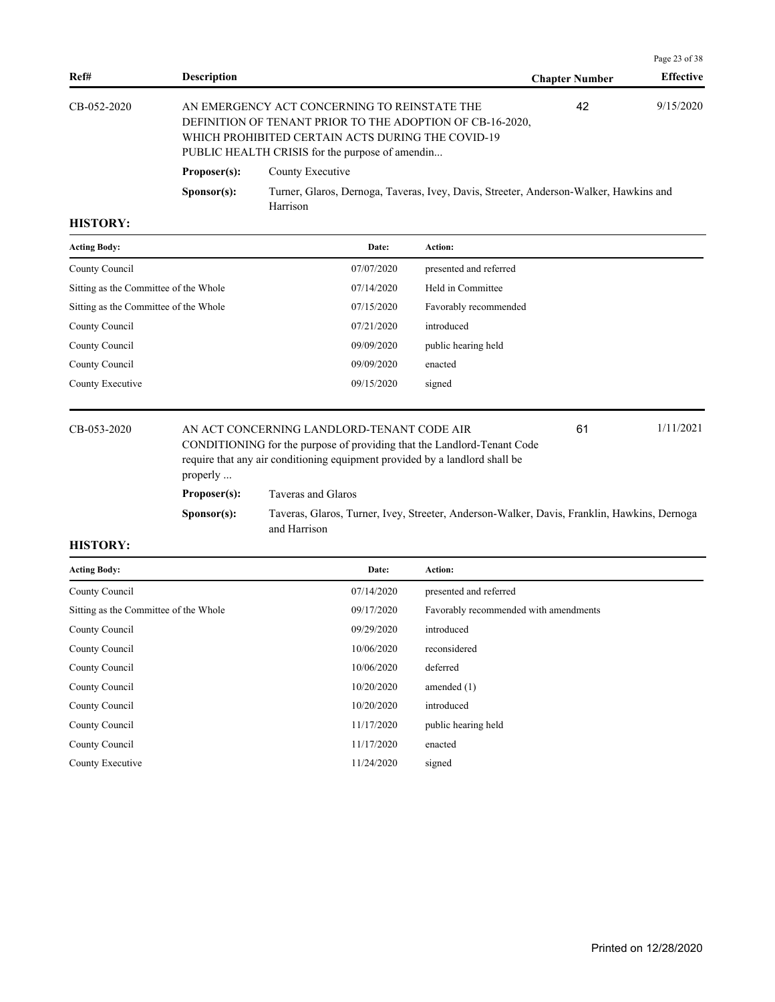|                |                      |                                                                                                                                                                                                                   |                       | Page 23 of 38    |
|----------------|----------------------|-------------------------------------------------------------------------------------------------------------------------------------------------------------------------------------------------------------------|-----------------------|------------------|
| Ref#           | <b>Description</b>   |                                                                                                                                                                                                                   | <b>Chapter Number</b> | <b>Effective</b> |
| $CB-0.52-2020$ |                      | AN EMERGENCY ACT CONCERNING TO REINSTATE THE<br>DEFINITION OF TENANT PRIOR TO THE ADOPTION OF CB-16-2020,<br>WHICH PROHIBITED CERTAIN ACTS DURING THE COVID-19<br>PUBLIC HEALTH CRISIS for the purpose of amendin | 42                    | 9/15/2020        |
|                | Proposer(s):         | County Executive                                                                                                                                                                                                  |                       |                  |
|                | S <b>p</b> onsor(s): | Turner, Glaros, Dernoga, Taveras, Ivey, Davis, Streeter, Anderson-Walker, Hawkins and<br>Harrison                                                                                                                 |                       |                  |

| <b>Acting Body:</b>                   | Date:      | <b>Action:</b>         |
|---------------------------------------|------------|------------------------|
| County Council                        | 07/07/2020 | presented and referred |
| Sitting as the Committee of the Whole | 07/14/2020 | Held in Committee      |
| Sitting as the Committee of the Whole | 07/15/2020 | Favorably recommended  |
| County Council                        | 07/21/2020 | introduced             |
| County Council                        | 09/09/2020 | public hearing held    |
| County Council                        | 09/09/2020 | enacted                |
| County Executive                      | 09/15/2020 | signed                 |
|                                       |            |                        |

| CB-053-2020 | properly             | 1/11/2021<br>AN ACT CONCERNING LANDLORD-TENANT CODE AIR<br>61<br>CONDITIONING for the purpose of providing that the Landlord-Tenant Code<br>require that any air conditioning equipment provided by a landlord shall be |  |  |  |  |
|-------------|----------------------|-------------------------------------------------------------------------------------------------------------------------------------------------------------------------------------------------------------------------|--|--|--|--|
|             | Proposer(s):         | Taveras and Glaros                                                                                                                                                                                                      |  |  |  |  |
|             | S <b>p</b> onsor(s): | Taveras, Glaros, Turner, Ivey, Streeter, Anderson-Walker, Davis, Franklin, Hawkins, Dernoga<br>and Harrison                                                                                                             |  |  |  |  |

| <b>Acting Body:</b>                   | Date:      | Action:                               |
|---------------------------------------|------------|---------------------------------------|
| County Council                        | 07/14/2020 | presented and referred                |
| Sitting as the Committee of the Whole | 09/17/2020 | Favorably recommended with amendments |
| County Council                        | 09/29/2020 | introduced                            |
| County Council                        | 10/06/2020 | reconsidered                          |
| County Council                        | 10/06/2020 | deferred                              |
| County Council                        | 10/20/2020 | amended $(1)$                         |
| County Council                        | 10/20/2020 | introduced                            |
| County Council                        | 11/17/2020 | public hearing held                   |
| County Council                        | 11/17/2020 | enacted                               |
| County Executive                      | 11/24/2020 | signed                                |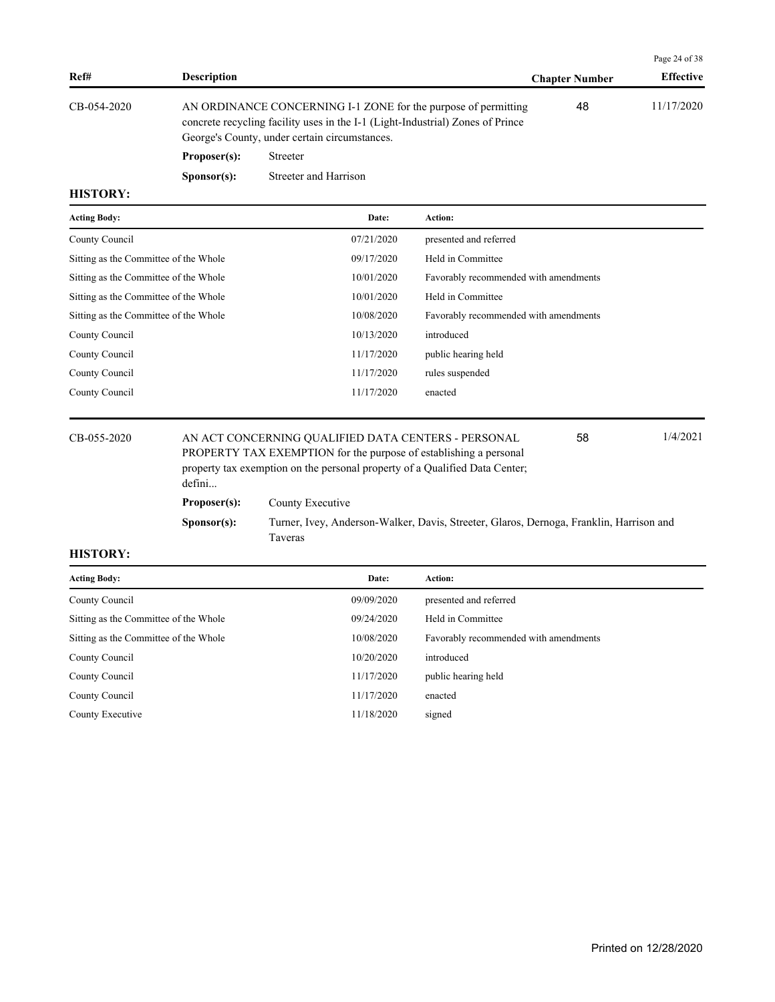|             |                                                                                                                                                                                                   |                       | Page 24 or 38    |
|-------------|---------------------------------------------------------------------------------------------------------------------------------------------------------------------------------------------------|-----------------------|------------------|
| Ref#        | <b>Description</b>                                                                                                                                                                                | <b>Chapter Number</b> | <b>Effective</b> |
| CB-054-2020 | AN ORDINANCE CONCERNING I-1 ZONE for the purpose of permitting<br>concrete recycling facility uses in the I-1 (Light-Industrial) Zones of Prince<br>George's County, under certain circumstances. | 48                    | 11/17/2020       |
|             | Proposer(s):<br>Streeter                                                                                                                                                                          |                       |                  |

**Sponsor(s):** Streeter and Harrison

## **HISTORY:**

| <b>Acting Body:</b>                   | Date:      | <b>Action:</b>                        |
|---------------------------------------|------------|---------------------------------------|
| County Council                        | 07/21/2020 | presented and referred                |
| Sitting as the Committee of the Whole | 09/17/2020 | Held in Committee                     |
| Sitting as the Committee of the Whole | 10/01/2020 | Favorably recommended with amendments |
| Sitting as the Committee of the Whole | 10/01/2020 | Held in Committee                     |
| Sitting as the Committee of the Whole | 10/08/2020 | Favorably recommended with amendments |
| County Council                        | 10/13/2020 | introduced                            |
| County Council                        | 11/17/2020 | public hearing held                   |
| County Council                        | 11/17/2020 | rules suspended                       |
| County Council                        | 11/17/2020 | enacted                               |
|                                       |            |                                       |

## CB-055-2020 AN ACT CONCERNING QUALIFIED DATA CENTERS - PERSONAL 58 1/4/2021

PROPERTY TAX EXEMPTION for the purpose of establishing a personal property tax exemption on the personal property of a Qualified Data Center; defini... **Proposer(s):** County Executive

**Sponsor(s):** Turner, Ivey, Anderson-Walker, Davis, Streeter, Glaros, Dernoga, Franklin, Harrison and Taveras

58

## **HISTORY:**

| <b>Acting Body:</b>                   | Date:      | Action:                               |
|---------------------------------------|------------|---------------------------------------|
| County Council                        | 09/09/2020 | presented and referred                |
| Sitting as the Committee of the Whole | 09/24/2020 | Held in Committee                     |
| Sitting as the Committee of the Whole | 10/08/2020 | Favorably recommended with amendments |
| County Council                        | 10/20/2020 | introduced                            |
| County Council                        | 11/17/2020 | public hearing held                   |
| County Council                        | 11/17/2020 | enacted                               |
| County Executive                      | 11/18/2020 | signed                                |

 $\overline{a}$   $\overline{a}$   $\overline{a}$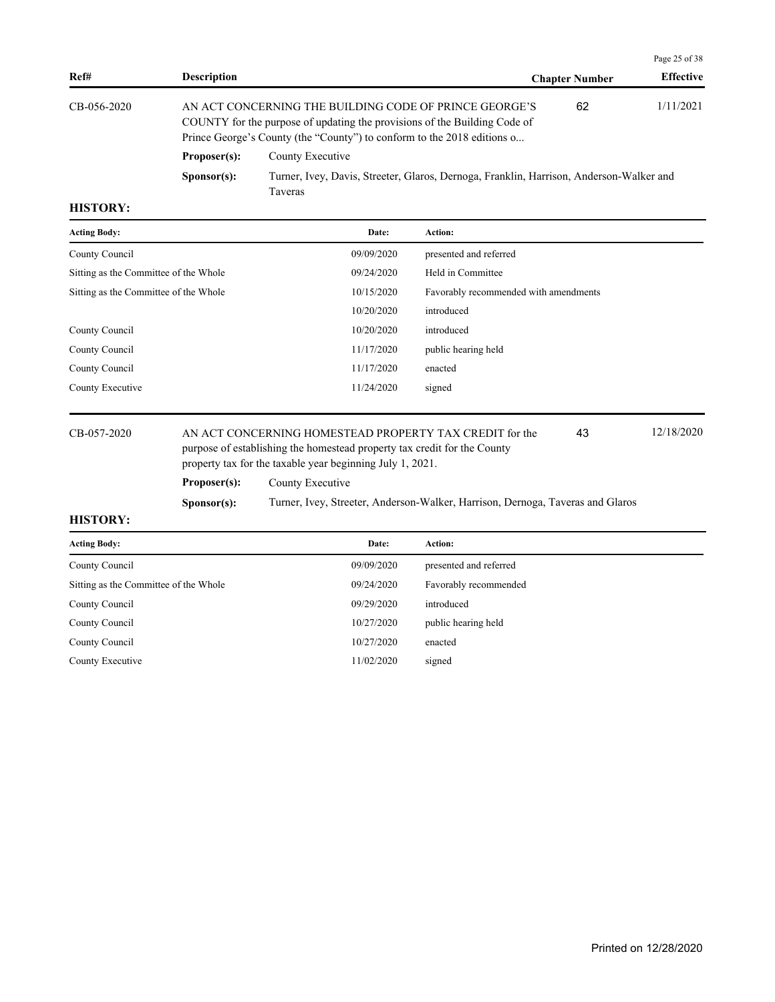|                                                                                                                                                                                                                                  |                      |                                                                                                    |                       | Page 25 of 38    |
|----------------------------------------------------------------------------------------------------------------------------------------------------------------------------------------------------------------------------------|----------------------|----------------------------------------------------------------------------------------------------|-----------------------|------------------|
| Ref#                                                                                                                                                                                                                             | <b>Description</b>   |                                                                                                    | <b>Chapter Number</b> | <b>Effective</b> |
| $CB-0.56-2020$<br>AN ACT CONCERNING THE BUILDING CODE OF PRINCE GEORGE'S<br>COUNTY for the purpose of updating the provisions of the Building Code of<br>Prince George's County (the "County") to conform to the 2018 editions o |                      |                                                                                                    | 62                    | 1/11/2021        |
|                                                                                                                                                                                                                                  | Proposer(s):         | County Executive                                                                                   |                       |                  |
|                                                                                                                                                                                                                                  | S <b>p</b> onsor(s): | Turner, Ivey, Davis, Streeter, Glaros, Dernoga, Franklin, Harrison, Anderson-Walker and<br>Taveras |                       |                  |

| <b>Acting Body:</b>                   | Date:      | Action:                               |
|---------------------------------------|------------|---------------------------------------|
| County Council                        | 09/09/2020 | presented and referred                |
| Sitting as the Committee of the Whole | 09/24/2020 | Held in Committee                     |
| Sitting as the Committee of the Whole | 10/15/2020 | Favorably recommended with amendments |
|                                       | 10/20/2020 | introduced                            |
| County Council                        | 10/20/2020 | introduced                            |
| County Council                        | 11/17/2020 | public hearing held                   |
| County Council                        | 11/17/2020 | enacted                               |
| County Executive                      | 11/24/2020 | signed                                |
|                                       |            |                                       |

CB-057-2020 AN ACT CONCERNING HOMESTEAD PROPERTY TAX CREDIT for the 43 12/18/2020 purpose of establishing the homestead property tax credit for the County property tax for the taxable year beginning July 1, 2021. 43 **Proposer(s):** County Executive

**Sponsor(s):** Turner, Ivey, Streeter, Anderson-Walker, Harrison, Dernoga, Taveras and Glaros

| <b>Acting Body:</b>                   | Date:      | Action:                |
|---------------------------------------|------------|------------------------|
| County Council                        | 09/09/2020 | presented and referred |
| Sitting as the Committee of the Whole | 09/24/2020 | Favorably recommended  |
| County Council                        | 09/29/2020 | introduced             |
| County Council                        | 10/27/2020 | public hearing held    |
| County Council                        | 10/27/2020 | enacted                |
| County Executive                      | 11/02/2020 | signed                 |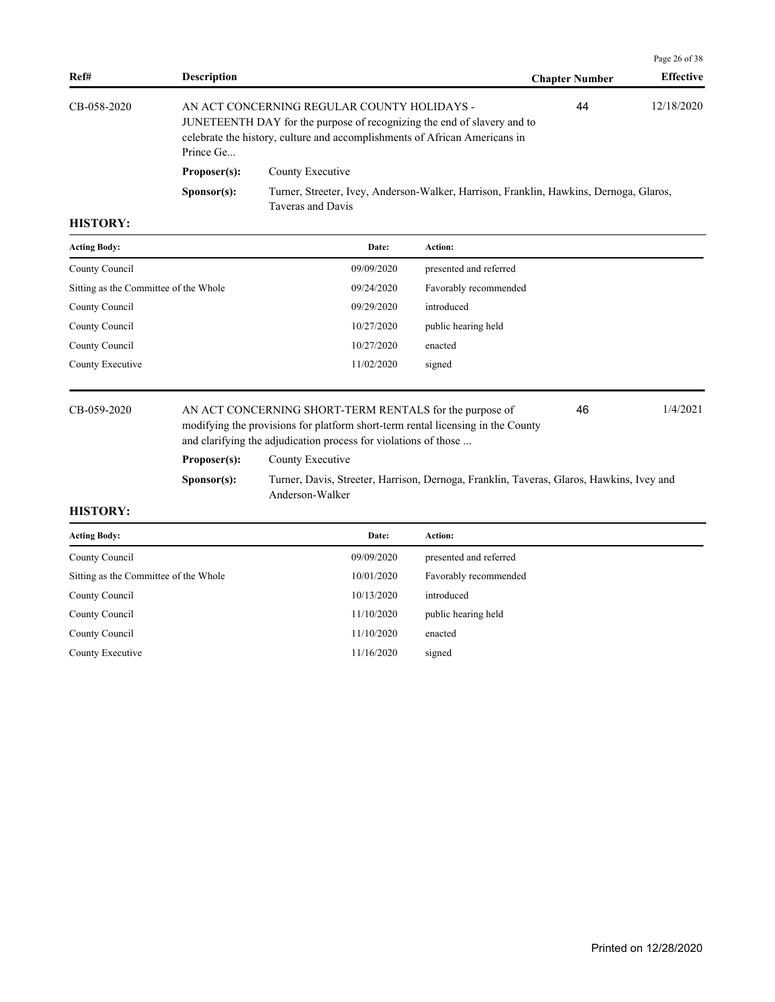|             |                                                                                                                                                                                                                         |                                                                                                             |                       | Page 26 of 38    |
|-------------|-------------------------------------------------------------------------------------------------------------------------------------------------------------------------------------------------------------------------|-------------------------------------------------------------------------------------------------------------|-----------------------|------------------|
| Ref#        | <b>Description</b>                                                                                                                                                                                                      |                                                                                                             | <b>Chapter Number</b> | <b>Effective</b> |
| CB-058-2020 | 44<br>AN ACT CONCERNING REGULAR COUNTY HOLIDAYS -<br>JUNETEENTH DAY for the purpose of recognizing the end of slavery and to<br>celebrate the history, culture and accomplishments of African Americans in<br>Prince Ge |                                                                                                             | 12/18/2020            |                  |
|             | Proposer(s):                                                                                                                                                                                                            | County Executive                                                                                            |                       |                  |
|             | S <b>p</b> onsor(s):                                                                                                                                                                                                    | Turner, Streeter, Ivey, Anderson-Walker, Harrison, Franklin, Hawkins, Dernoga, Glaros,<br>Taveras and Davis |                       |                  |

| Date:      | Action:                |
|------------|------------------------|
| 09/09/2020 | presented and referred |
| 09/24/2020 | Favorably recommended  |
| 09/29/2020 | introduced             |
| 10/27/2020 | public hearing held    |
| 10/27/2020 | enacted                |
| 11/02/2020 | signed                 |
|            |                        |

CB-059-2020 AN ACT CONCERNING SHORT-TERM RENTALS for the purpose of 46 1/4/2021 modifying the provisions for platform short-term rental licensing in the County and clarifying the adjudication process for violations of those ... 46 Proposer(s): County Executive

**Sponsor(s):** Turner, Davis, Streeter, Harrison, Dernoga, Franklin, Taveras, Glaros, Hawkins, Ivey and Anderson-Walker

| <b>Acting Body:</b>                   | Date:      | Action:                |
|---------------------------------------|------------|------------------------|
| County Council                        | 09/09/2020 | presented and referred |
| Sitting as the Committee of the Whole | 10/01/2020 | Favorably recommended  |
| County Council                        | 10/13/2020 | introduced             |
| County Council                        | 11/10/2020 | public hearing held    |
| County Council                        | 11/10/2020 | enacted                |
| County Executive                      | 11/16/2020 | signed                 |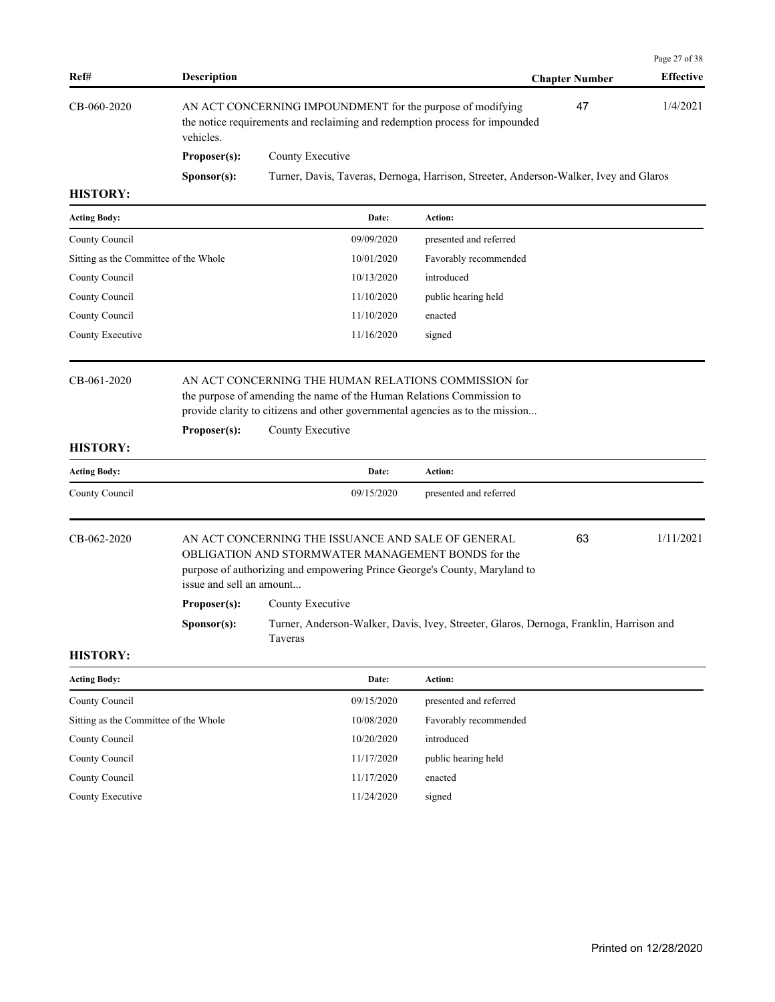|                                       |                                                                                                                                                              |                                                                                                                                                                                       |                        |                       | Page 27 of 38    |
|---------------------------------------|--------------------------------------------------------------------------------------------------------------------------------------------------------------|---------------------------------------------------------------------------------------------------------------------------------------------------------------------------------------|------------------------|-----------------------|------------------|
| Ref#                                  | <b>Description</b>                                                                                                                                           |                                                                                                                                                                                       |                        | <b>Chapter Number</b> | <b>Effective</b> |
| CB-060-2020                           | 47<br>AN ACT CONCERNING IMPOUNDMENT for the purpose of modifying<br>the notice requirements and reclaiming and redemption process for impounded<br>vehicles. |                                                                                                                                                                                       |                        |                       | 1/4/2021         |
|                                       | Proposer(s):                                                                                                                                                 | County Executive                                                                                                                                                                      |                        |                       |                  |
|                                       | Sponsor(s):                                                                                                                                                  | Turner, Davis, Taveras, Dernoga, Harrison, Streeter, Anderson-Walker, Ivey and Glaros                                                                                                 |                        |                       |                  |
| <b>HISTORY:</b>                       |                                                                                                                                                              |                                                                                                                                                                                       |                        |                       |                  |
| <b>Acting Body:</b>                   |                                                                                                                                                              | Date:                                                                                                                                                                                 | Action:                |                       |                  |
| County Council                        |                                                                                                                                                              | 09/09/2020                                                                                                                                                                            | presented and referred |                       |                  |
| Sitting as the Committee of the Whole |                                                                                                                                                              | 10/01/2020                                                                                                                                                                            | Favorably recommended  |                       |                  |
| County Council                        |                                                                                                                                                              | 10/13/2020                                                                                                                                                                            | introduced             |                       |                  |
| County Council                        |                                                                                                                                                              | 11/10/2020                                                                                                                                                                            | public hearing held    |                       |                  |
| County Council                        |                                                                                                                                                              | 11/10/2020                                                                                                                                                                            | enacted                |                       |                  |
| County Executive                      |                                                                                                                                                              | 11/16/2020                                                                                                                                                                            | signed                 |                       |                  |
| <b>HISTORY:</b>                       | Proposer(s):                                                                                                                                                 | the purpose of amending the name of the Human Relations Commission to<br>provide clarity to citizens and other governmental agencies as to the mission<br>County Executive            |                        |                       |                  |
| <b>Acting Body:</b>                   |                                                                                                                                                              | Date:                                                                                                                                                                                 | Action:                |                       |                  |
| County Council                        |                                                                                                                                                              | 09/15/2020                                                                                                                                                                            | presented and referred |                       |                  |
| CB-062-2020                           | issue and sell an amount                                                                                                                                     | AN ACT CONCERNING THE ISSUANCE AND SALE OF GENERAL<br>OBLIGATION AND STORMWATER MANAGEMENT BONDS for the<br>purpose of authorizing and empowering Prince George's County, Maryland to |                        | 63                    | 1/11/2021        |
|                                       | Proposer(s):                                                                                                                                                 | County Executive                                                                                                                                                                      |                        |                       |                  |
|                                       | S <b>p</b> onsor(s):                                                                                                                                         | Turner, Anderson-Walker, Davis, Ivey, Streeter, Glaros, Dernoga, Franklin, Harrison and<br>Taveras                                                                                    |                        |                       |                  |
| <b>HISTORY:</b>                       |                                                                                                                                                              |                                                                                                                                                                                       |                        |                       |                  |
| <b>Acting Body:</b>                   |                                                                                                                                                              | Date:                                                                                                                                                                                 | Action:                |                       |                  |
| County Council                        |                                                                                                                                                              | 09/15/2020                                                                                                                                                                            | presented and referred |                       |                  |
| Sitting as the Committee of the Whole |                                                                                                                                                              | 10/08/2020                                                                                                                                                                            | Favorably recommended  |                       |                  |
| County Council                        |                                                                                                                                                              | 10/20/2020                                                                                                                                                                            | introduced             |                       |                  |

| County Council   | 11/17/2020 | public hearing held |
|------------------|------------|---------------------|
| County Council   | 11/17/2020 | enacted             |
| County Executive | 11/24/2020 | signed              |
|                  |            |                     |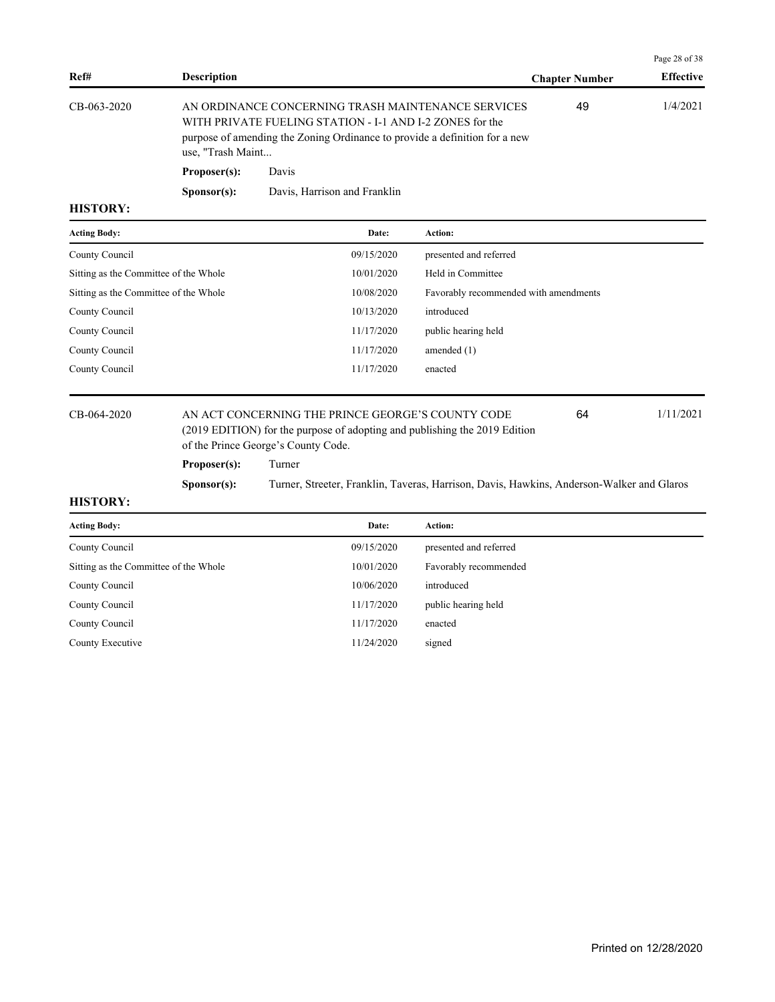| Ref#              | <b>Description</b>   |                                                                                                                                                                                              | <b>Chapter Number</b> | <b>Effective</b> |
|-------------------|----------------------|----------------------------------------------------------------------------------------------------------------------------------------------------------------------------------------------|-----------------------|------------------|
| CB-063-2020       | use, "Trash Maint    | AN ORDINANCE CONCERNING TRASH MAINTENANCE SERVICES<br>WITH PRIVATE FUELING STATION - I-1 AND I-2 ZONES for the<br>purpose of amending the Zoning Ordinance to provide a definition for a new | 49                    | 1/4/2021         |
|                   | Proposer(s):         | Davis                                                                                                                                                                                        |                       |                  |
|                   | S <b>p</b> onsor(s): | Davis, Harrison and Franklin                                                                                                                                                                 |                       |                  |
| <b>***^**^***</b> |                      |                                                                                                                                                                                              |                       |                  |

| <b>Acting Body:</b>                   | Date:      | Action:                               |
|---------------------------------------|------------|---------------------------------------|
| County Council                        | 09/15/2020 | presented and referred                |
| Sitting as the Committee of the Whole | 10/01/2020 | Held in Committee                     |
| Sitting as the Committee of the Whole | 10/08/2020 | Favorably recommended with amendments |
| County Council                        | 10/13/2020 | introduced                            |
| County Council                        | 11/17/2020 | public hearing held                   |
| County Council                        | 11/17/2020 | amended $(1)$                         |
| County Council                        | 11/17/2020 | enacted                               |
|                                       |            |                                       |

## CB-064-2020 AN ACT CONCERNING THE PRINCE GEORGE'S COUNTY CODE 64 1/11/2021 (2019 EDITION) for the purpose of adopting and publishing the 2019 Edition of the Prince George's County Code.

64

Page 28 of 38

**Proposer(s):** Turner **Sponsor(s):** Turner, Streeter, Franklin, Taveras, Harrison, Davis, Hawkins, Anderson-Walker and Glaros

| <b>Acting Body:</b>                   | Date:      | Action:                |
|---------------------------------------|------------|------------------------|
| County Council                        | 09/15/2020 | presented and referred |
| Sitting as the Committee of the Whole | 10/01/2020 | Favorably recommended  |
| County Council                        | 10/06/2020 | introduced             |
| County Council                        | 11/17/2020 | public hearing held    |
| County Council                        | 11/17/2020 | enacted                |
| County Executive                      | 11/24/2020 | signed                 |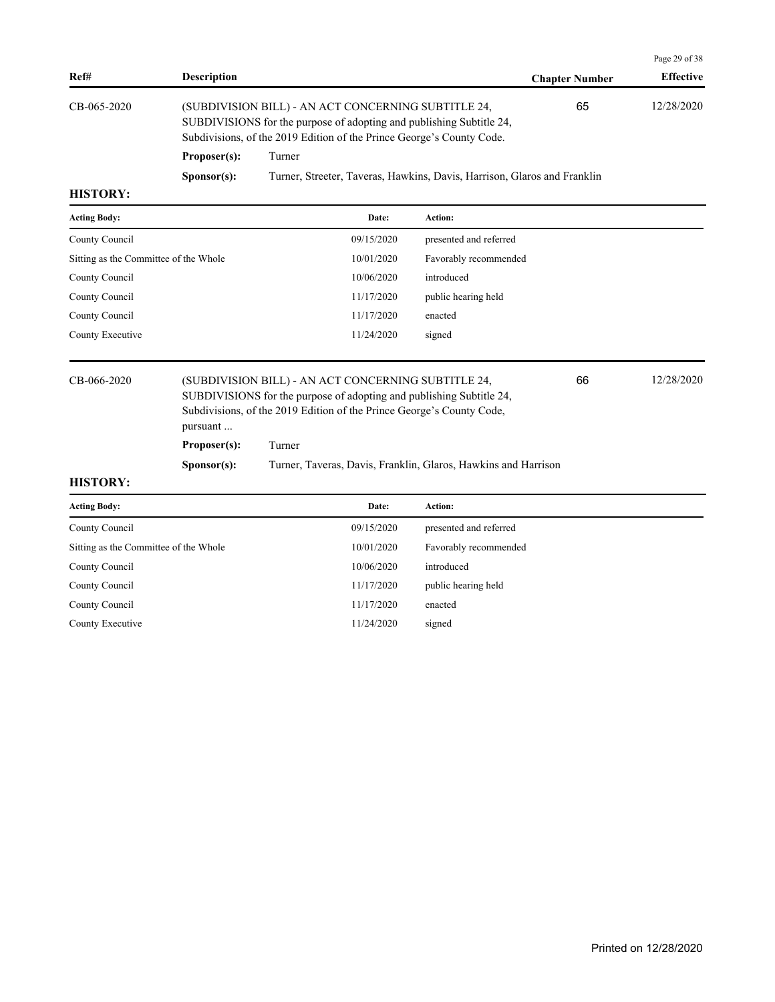|             |                      |                                                                                                                                                                                                      |                       | Page 29 of 38    |  |
|-------------|----------------------|------------------------------------------------------------------------------------------------------------------------------------------------------------------------------------------------------|-----------------------|------------------|--|
| Ref#        | <b>Description</b>   |                                                                                                                                                                                                      | <b>Chapter Number</b> | <b>Effective</b> |  |
| CB-065-2020 |                      | (SUBDIVISION BILL) - AN ACT CONCERNING SUBTITLE 24,<br>SUBDIVISIONS for the purpose of adopting and publishing Subtitle 24,<br>Subdivisions, of the 2019 Edition of the Prince George's County Code. | 65                    | 12/28/2020       |  |
|             | Proposer(s):         | Turner                                                                                                                                                                                               |                       |                  |  |
|             | S <b>p</b> onsor(s): | Turner, Streeter, Taveras, Hawkins, Davis, Harrison, Glaros and Franklin                                                                                                                             |                       |                  |  |
| ----------  |                      |                                                                                                                                                                                                      |                       |                  |  |

| <b>Acting Body:</b>                   | Date:      | <b>Action:</b>         |
|---------------------------------------|------------|------------------------|
| County Council                        | 09/15/2020 | presented and referred |
| Sitting as the Committee of the Whole | 10/01/2020 | Favorably recommended  |
| County Council                        | 10/06/2020 | introduced             |
| County Council                        | 11/17/2020 | public hearing held    |
| County Council                        | 11/17/2020 | enacted                |
| County Executive                      | 11/24/2020 | signed                 |
|                                       |            |                        |

CB-066-2020 (SUBDIVISION BILL) - AN ACT CONCERNING SUBTITLE 24, 66 12/28/2020 SUBDIVISIONS for the purpose of adopting and publishing Subtitle 24, Subdivisions, of the 2019 Edition of the Prince George's County Code, pursuant ... 66 **Proposer(s):** Turner

**Sponsor(s):** Turner, Taveras, Davis, Franklin, Glaros, Hawkins and Harrison

| <b>Acting Body:</b>                   | Date:      | <b>Action:</b>         |
|---------------------------------------|------------|------------------------|
| County Council                        | 09/15/2020 | presented and referred |
| Sitting as the Committee of the Whole | 10/01/2020 | Favorably recommended  |
| County Council                        | 10/06/2020 | introduced             |
| County Council                        | 11/17/2020 | public hearing held    |
| County Council                        | 11/17/2020 | enacted                |
| County Executive                      | 11/24/2020 | signed                 |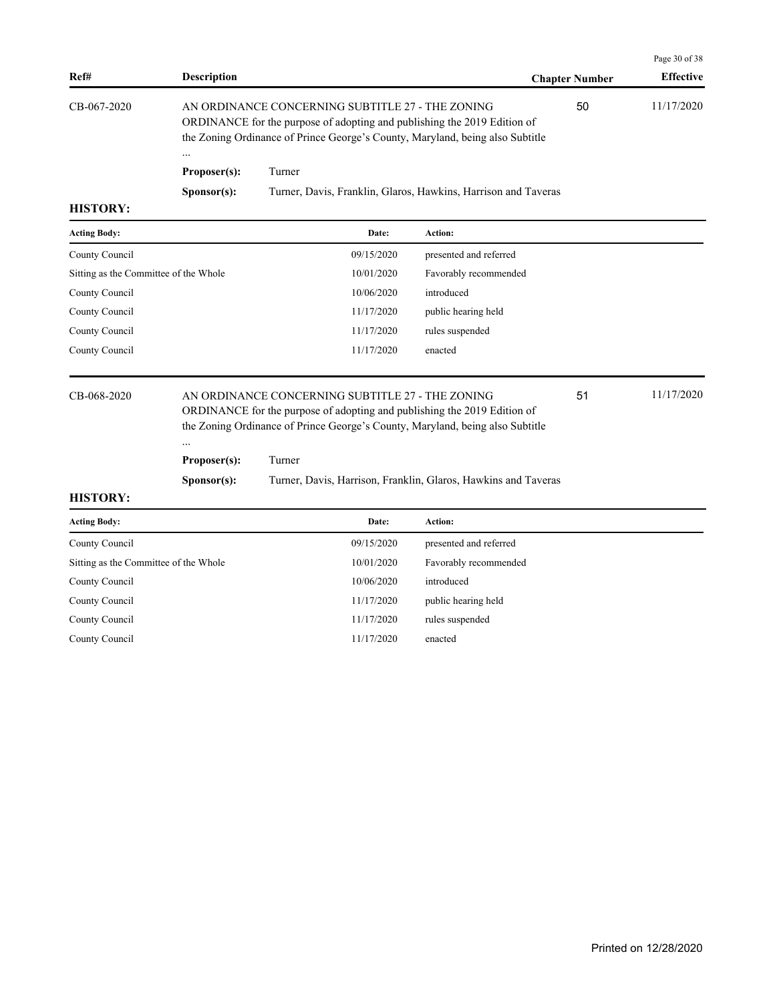| Ref#            | <b>Description</b>   |                                                                                                                                                                                                               | <b>Chapter Number</b> | <b>Effective</b> |
|-----------------|----------------------|---------------------------------------------------------------------------------------------------------------------------------------------------------------------------------------------------------------|-----------------------|------------------|
| CB-067-2020     | $\cdots$             | AN ORDINANCE CONCERNING SUBTITLE 27 - THE ZONING<br>ORDINANCE for the purpose of adopting and publishing the 2019 Edition of<br>the Zoning Ordinance of Prince George's County, Maryland, being also Subtitle | 50                    | 11/17/2020       |
|                 | Proposer(s):         | Turner                                                                                                                                                                                                        |                       |                  |
| <b>HISTORY:</b> | S <b>p</b> onsor(s): | Turner, Davis, Franklin, Glaros, Hawkins, Harrison and Taveras                                                                                                                                                |                       |                  |

| <b>Acting Body:</b>                   | Date:      | Action:                |
|---------------------------------------|------------|------------------------|
| County Council                        | 09/15/2020 | presented and referred |
| Sitting as the Committee of the Whole | 10/01/2020 | Favorably recommended  |
| County Council                        | 10/06/2020 | introduced             |
| County Council                        | 11/17/2020 | public hearing held    |
| County Council                        | 11/17/2020 | rules suspended        |
| County Council                        | 11/17/2020 | enacted                |
|                                       |            |                        |

### CB-068-2020 AN ORDINANCE CONCERNING SUBTITLE 27 - THE ZONING 51 11/17/2020 ORDINANCE for the purpose of adopting and publishing the 2019 Edition of the Zoning Ordinance of Prince George's County, Maryland, being also Subtitle

**Proposer(s):** Turner

...

**Sponsor(s):** Turner, Davis, Harrison, Franklin, Glaros, Hawkins and Taveras

#### **HISTORY:**

| <b>Acting Body:</b>                   | Date:      | <b>Action:</b>         |
|---------------------------------------|------------|------------------------|
| County Council                        | 09/15/2020 | presented and referred |
| Sitting as the Committee of the Whole | 10/01/2020 | Favorably recommended  |
| County Council                        | 10/06/2020 | introduced             |
| County Council                        | 11/17/2020 | public hearing held    |
| County Council                        | 11/17/2020 | rules suspended        |
| County Council                        | 11/17/2020 | enacted                |

Page 30 of 38

51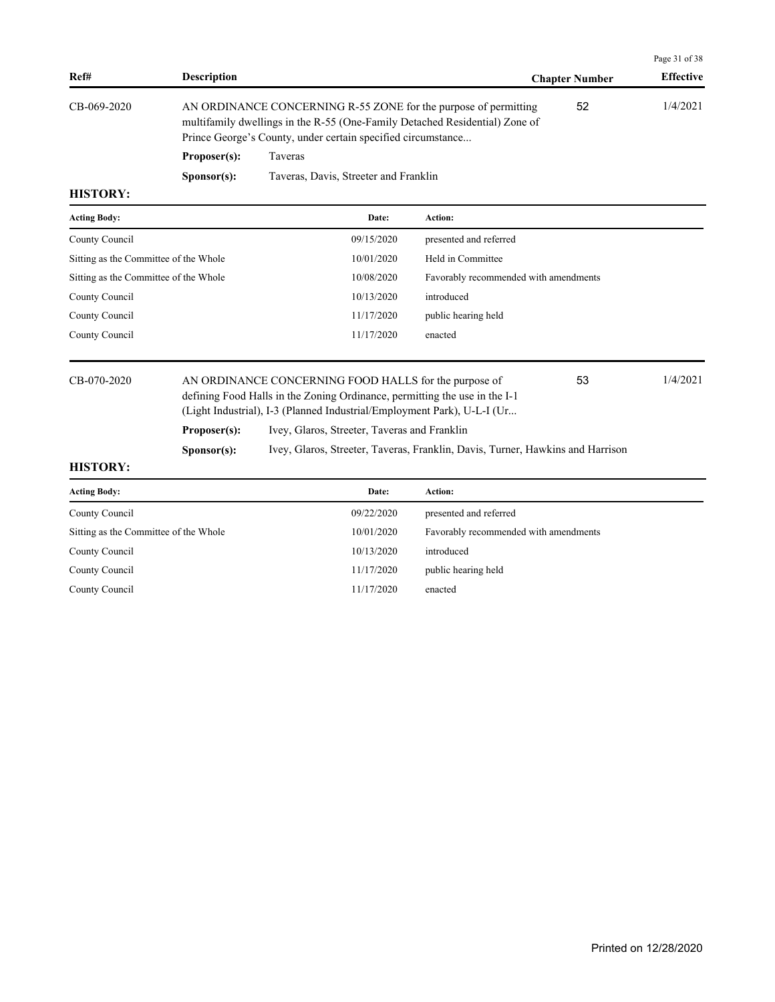|                                       |                                                                                                                                                                                                                      |                                                                                                                                                                                                                |                                       |                       | Page 31 of 38    |
|---------------------------------------|----------------------------------------------------------------------------------------------------------------------------------------------------------------------------------------------------------------------|----------------------------------------------------------------------------------------------------------------------------------------------------------------------------------------------------------------|---------------------------------------|-----------------------|------------------|
| Ref#                                  | <b>Description</b>                                                                                                                                                                                                   |                                                                                                                                                                                                                |                                       | <b>Chapter Number</b> | <b>Effective</b> |
| CB-069-2020                           |                                                                                                                                                                                                                      | AN ORDINANCE CONCERNING R-55 ZONE for the purpose of permitting<br>multifamily dwellings in the R-55 (One-Family Detached Residential) Zone of<br>Prince George's County, under certain specified circumstance |                                       | 52                    | 1/4/2021         |
|                                       | Proposer(s):                                                                                                                                                                                                         | <b>Taveras</b>                                                                                                                                                                                                 |                                       |                       |                  |
| <b>HISTORY:</b>                       | Sponsor(s):                                                                                                                                                                                                          | Taveras, Davis, Streeter and Franklin                                                                                                                                                                          |                                       |                       |                  |
|                                       |                                                                                                                                                                                                                      |                                                                                                                                                                                                                | Action:                               |                       |                  |
| <b>Acting Body:</b>                   |                                                                                                                                                                                                                      | Date:                                                                                                                                                                                                          |                                       |                       |                  |
| County Council                        |                                                                                                                                                                                                                      | 09/15/2020                                                                                                                                                                                                     | presented and referred                |                       |                  |
| Sitting as the Committee of the Whole |                                                                                                                                                                                                                      | 10/01/2020                                                                                                                                                                                                     | Held in Committee                     |                       |                  |
| Sitting as the Committee of the Whole |                                                                                                                                                                                                                      | 10/08/2020                                                                                                                                                                                                     | Favorably recommended with amendments |                       |                  |
| County Council                        |                                                                                                                                                                                                                      | 10/13/2020                                                                                                                                                                                                     | introduced                            |                       |                  |
| County Council                        |                                                                                                                                                                                                                      | 11/17/2020                                                                                                                                                                                                     | public hearing held                   |                       |                  |
| County Council                        |                                                                                                                                                                                                                      | 11/17/2020                                                                                                                                                                                                     | enacted                               |                       |                  |
| CB-070-2020                           | AN ORDINANCE CONCERNING FOOD HALLS for the purpose of<br>53<br>defining Food Halls in the Zoning Ordinance, permitting the use in the I-1<br>(Light Industrial), I-3 (Planned Industrial/Employment Park), U-L-I (Ur |                                                                                                                                                                                                                |                                       | 1/4/2021              |                  |
|                                       | Proposer(s):                                                                                                                                                                                                         | Ivey, Glaros, Streeter, Taveras and Franklin                                                                                                                                                                   |                                       |                       |                  |
|                                       | S <b>p</b> onsor(s):                                                                                                                                                                                                 | Ivey, Glaros, Streeter, Taveras, Franklin, Davis, Turner, Hawkins and Harrison                                                                                                                                 |                                       |                       |                  |
| <b>HISTORY:</b>                       |                                                                                                                                                                                                                      |                                                                                                                                                                                                                |                                       |                       |                  |
| <b>Acting Body:</b>                   |                                                                                                                                                                                                                      | Date:                                                                                                                                                                                                          | Action:                               |                       |                  |
| County Council                        |                                                                                                                                                                                                                      | 09/22/2020                                                                                                                                                                                                     | presented and referred                |                       |                  |

| County Council                        | 09/22/2020 | presented and referred                |
|---------------------------------------|------------|---------------------------------------|
| Sitting as the Committee of the Whole | 10/01/2020 | Favorably recommended with amendments |
| County Council                        | 10/13/2020 | introduced                            |
| County Council                        | 11/17/2020 | public hearing held                   |
| County Council                        | 11/17/2020 | enacted                               |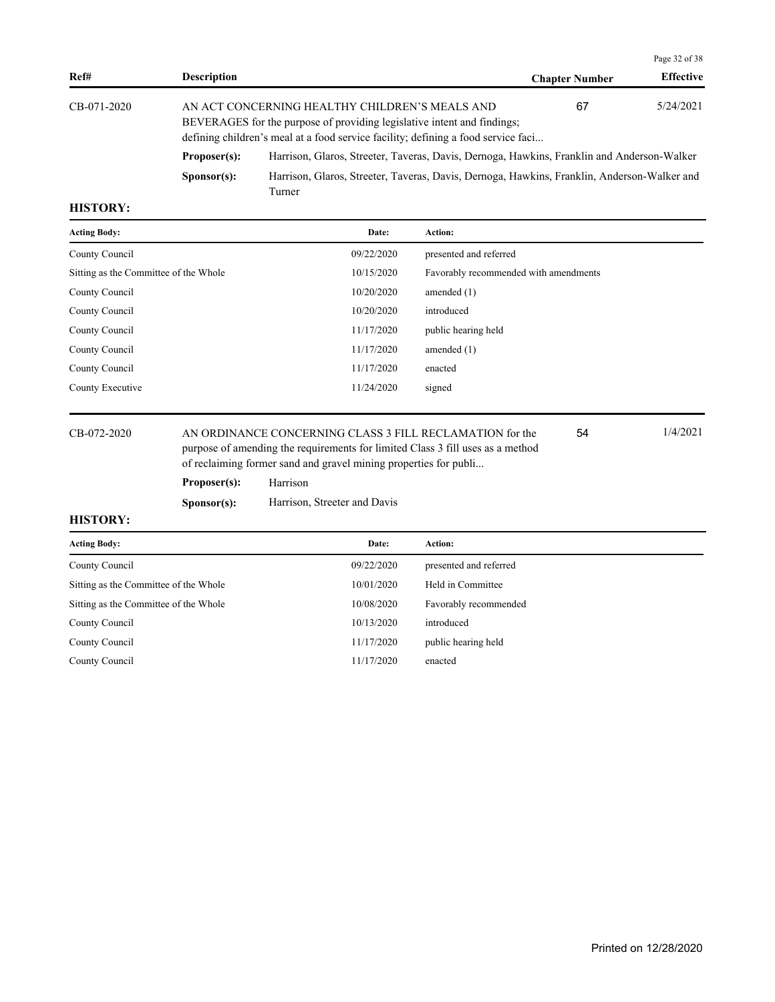|             |                      |                                                                                                                                                                                                                |                       | Page 32 of 38    |
|-------------|----------------------|----------------------------------------------------------------------------------------------------------------------------------------------------------------------------------------------------------------|-----------------------|------------------|
| Ref#        | <b>Description</b>   |                                                                                                                                                                                                                | <b>Chapter Number</b> | <b>Effective</b> |
| CB-071-2020 |                      | AN ACT CONCERNING HEALTHY CHILDREN'S MEALS AND<br>BEVERAGES for the purpose of providing legislative intent and findings;<br>defining children's meal at a food service facility; defining a food service faci | 67                    | 5/24/2021        |
|             | Proposer(s):         | Harrison, Glaros, Streeter, Taveras, Davis, Dernoga, Hawkins, Franklin and Anderson-Walker                                                                                                                     |                       |                  |
|             | S <b>p</b> onsor(s): | Harrison, Glaros, Streeter, Taveras, Davis, Dernoga, Hawkins, Franklin, Anderson-Walker and<br>Turner                                                                                                          |                       |                  |

| <b>Acting Body:</b>                   | Date:      | <b>Action:</b>                        |
|---------------------------------------|------------|---------------------------------------|
| County Council                        | 09/22/2020 | presented and referred                |
| Sitting as the Committee of the Whole | 10/15/2020 | Favorably recommended with amendments |
| County Council                        | 10/20/2020 | amended $(1)$                         |
| County Council                        | 10/20/2020 | introduced                            |
| County Council                        | 11/17/2020 | public hearing held                   |
| County Council                        | 11/17/2020 | amended $(1)$                         |
| County Council                        | 11/17/2020 | enacted                               |
| County Executive                      | 11/24/2020 | signed                                |
|                                       |            |                                       |

CB-072-2020 AN ORDINANCE CONCERNING CLASS 3 FILL RECLAMATION for the 1/4/2021 purpose of amending the requirements for limited Class 3 fill uses as a method of reclaiming former sand and gravel mining properties for publi... 54

## **Proposer(s):** Harrison

**Sponsor(s):** Harrison, Streeter and Davis

| <b>Acting Body:</b>                   | Date:      | Action:                |
|---------------------------------------|------------|------------------------|
| County Council                        | 09/22/2020 | presented and referred |
| Sitting as the Committee of the Whole | 10/01/2020 | Held in Committee      |
| Sitting as the Committee of the Whole | 10/08/2020 | Favorably recommended  |
| County Council                        | 10/13/2020 | introduced             |
| County Council                        | 11/17/2020 | public hearing held    |
| County Council                        | 11/17/2020 | enacted                |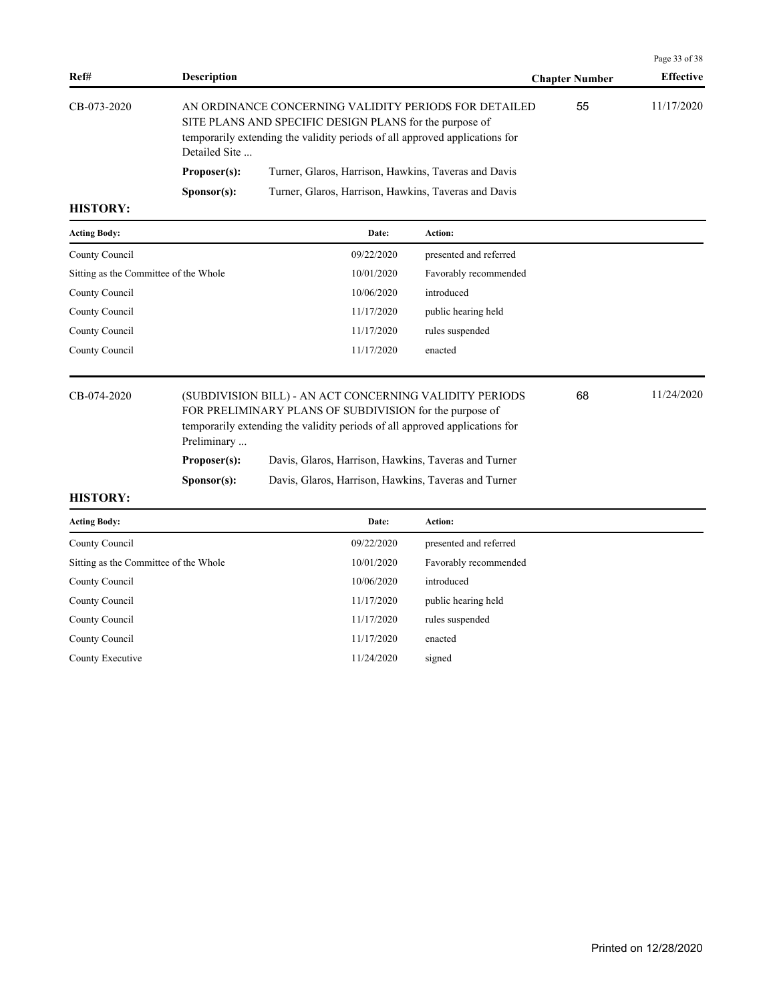|                                                                                         |                      |                                                                                                                                      |                       | Page 33 of 38    |
|-----------------------------------------------------------------------------------------|----------------------|--------------------------------------------------------------------------------------------------------------------------------------|-----------------------|------------------|
| Ref#                                                                                    | <b>Description</b>   |                                                                                                                                      | <b>Chapter Number</b> | <b>Effective</b> |
| CB-073-2020<br>SITE PLANS AND SPECIFIC DESIGN PLANS for the purpose of<br>Detailed Site |                      | AN ORDINANCE CONCERNING VALIDITY PERIODS FOR DETAILED<br>temporarily extending the validity periods of all approved applications for | 55                    | 11/17/2020       |
|                                                                                         | Proposer(s):         | Turner, Glaros, Harrison, Hawkins, Taveras and Davis                                                                                 |                       |                  |
|                                                                                         | S <b>p</b> onsor(s): | Turner, Glaros, Harrison, Hawkins, Taveras and Davis                                                                                 |                       |                  |

| Date:      | Action:                |
|------------|------------------------|
| 09/22/2020 | presented and referred |
| 10/01/2020 | Favorably recommended  |
| 10/06/2020 | introduced             |
| 11/17/2020 | public hearing held    |
| 11/17/2020 | rules suspended        |
| 11/17/2020 | enacted                |
|            |                        |

| CB-074-2020 | Preliminary          | (SUBDIVISION BILL) - AN ACT CONCERNING VALIDITY PERIODS<br>FOR PRELIMINARY PLANS OF SUBDIVISION for the purpose of<br>temporarily extending the validity periods of all approved applications for | 68 | 11/24/2020 |
|-------------|----------------------|---------------------------------------------------------------------------------------------------------------------------------------------------------------------------------------------------|----|------------|
|             | Proposer(s):         | Davis, Glaros, Harrison, Hawkins, Taveras and Turner                                                                                                                                              |    |            |
|             | S <b>p</b> onsor(s): | Davis, Glaros, Harrison, Hawkins, Taveras and Turner                                                                                                                                              |    |            |

| <b>Acting Body:</b>                   | Date:      | <b>Action:</b>         |
|---------------------------------------|------------|------------------------|
| County Council                        | 09/22/2020 | presented and referred |
| Sitting as the Committee of the Whole | 10/01/2020 | Favorably recommended  |
| County Council                        | 10/06/2020 | introduced             |
| County Council                        | 11/17/2020 | public hearing held    |
| County Council                        | 11/17/2020 | rules suspended        |
| County Council                        | 11/17/2020 | enacted                |
| County Executive                      | 11/24/2020 | signed                 |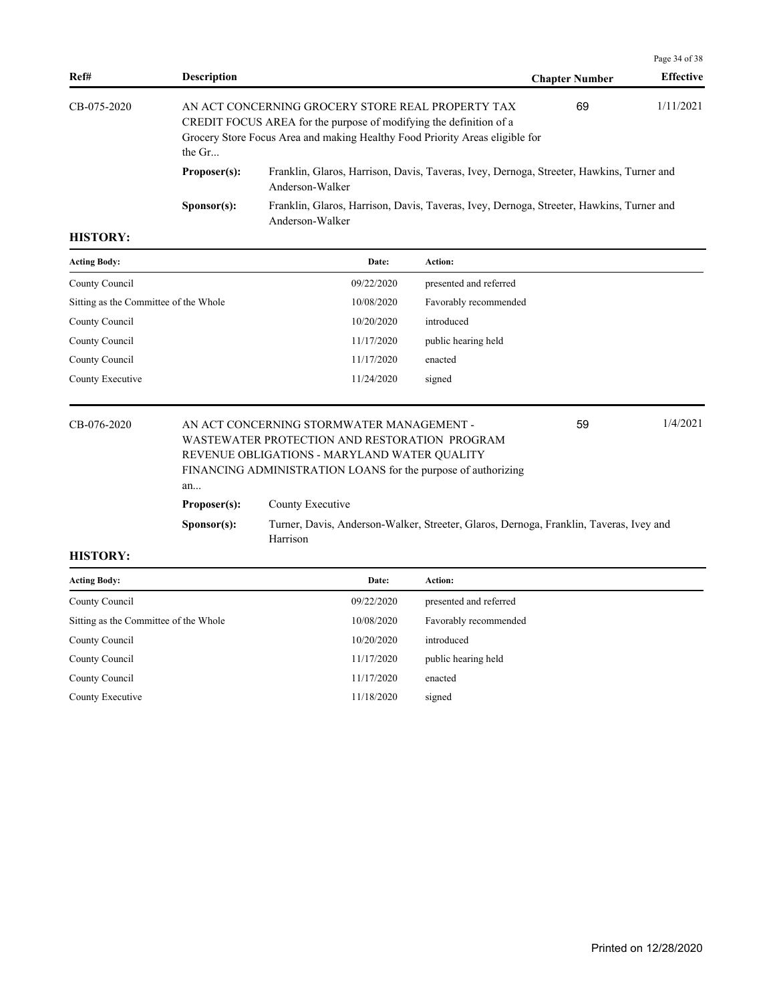|                                                                                                                                                                                                                                    |                      |                                                                                                             |                       | Page 34 of 38    |
|------------------------------------------------------------------------------------------------------------------------------------------------------------------------------------------------------------------------------------|----------------------|-------------------------------------------------------------------------------------------------------------|-----------------------|------------------|
| Ref#                                                                                                                                                                                                                               | <b>Description</b>   |                                                                                                             | <b>Chapter Number</b> | <b>Effective</b> |
| CB-075-2020<br>AN ACT CONCERNING GROCERY STORE REAL PROPERTY TAX<br>CREDIT FOCUS AREA for the purpose of modifying the definition of a<br>Grocery Store Focus Area and making Healthy Food Priority Areas eligible for<br>the $Gr$ |                      |                                                                                                             | 1/11/2021<br>69       |                  |
|                                                                                                                                                                                                                                    | Proposer(s):         | Franklin, Glaros, Harrison, Davis, Taveras, Ivey, Dernoga, Streeter, Hawkins, Turner and<br>Anderson-Walker |                       |                  |
|                                                                                                                                                                                                                                    | S <b>p</b> onsor(s): | Franklin, Glaros, Harrison, Davis, Taveras, Ivey, Dernoga, Streeter, Hawkins, Turner and<br>Anderson-Walker |                       |                  |

| <b>Acting Body:</b>                   | Date:      | <b>Action:</b>         |
|---------------------------------------|------------|------------------------|
| County Council                        | 09/22/2020 | presented and referred |
| Sitting as the Committee of the Whole | 10/08/2020 | Favorably recommended  |
| County Council                        | 10/20/2020 | introduced             |
| County Council                        | 11/17/2020 | public hearing held    |
| County Council                        | 11/17/2020 | enacted                |
| County Executive                      | 11/24/2020 | signed                 |

| CB-076-2020 |                      | 1/4/2021<br>AN ACT CONCERNING STORMWATER MANAGEMENT -<br>59<br>WASTEWATER PROTECTION AND RESTORATION PROGRAM |  |  |  |  |  |
|-------------|----------------------|--------------------------------------------------------------------------------------------------------------|--|--|--|--|--|
|             |                      | REVENUE OBLIGATIONS - MARYLAND WATER QUALITY                                                                 |  |  |  |  |  |
|             |                      | FINANCING ADMINISTRATION LOANS for the purpose of authorizing                                                |  |  |  |  |  |
|             | an                   |                                                                                                              |  |  |  |  |  |
|             | Proposer(s):         | County Executive                                                                                             |  |  |  |  |  |
|             | S <b>p</b> onsor(s): | Turner, Davis, Anderson-Walker, Streeter, Glaros, Dernoga, Franklin, Taveras, Ivey and<br>Harrison           |  |  |  |  |  |

| <b>Acting Body:</b>                   | Date:      | <b>Action:</b>         |
|---------------------------------------|------------|------------------------|
| County Council                        | 09/22/2020 | presented and referred |
| Sitting as the Committee of the Whole | 10/08/2020 | Favorably recommended  |
| County Council                        | 10/20/2020 | introduced             |
| County Council                        | 11/17/2020 | public hearing held    |
| County Council                        | 11/17/2020 | enacted                |
| County Executive                      | 11/18/2020 | signed                 |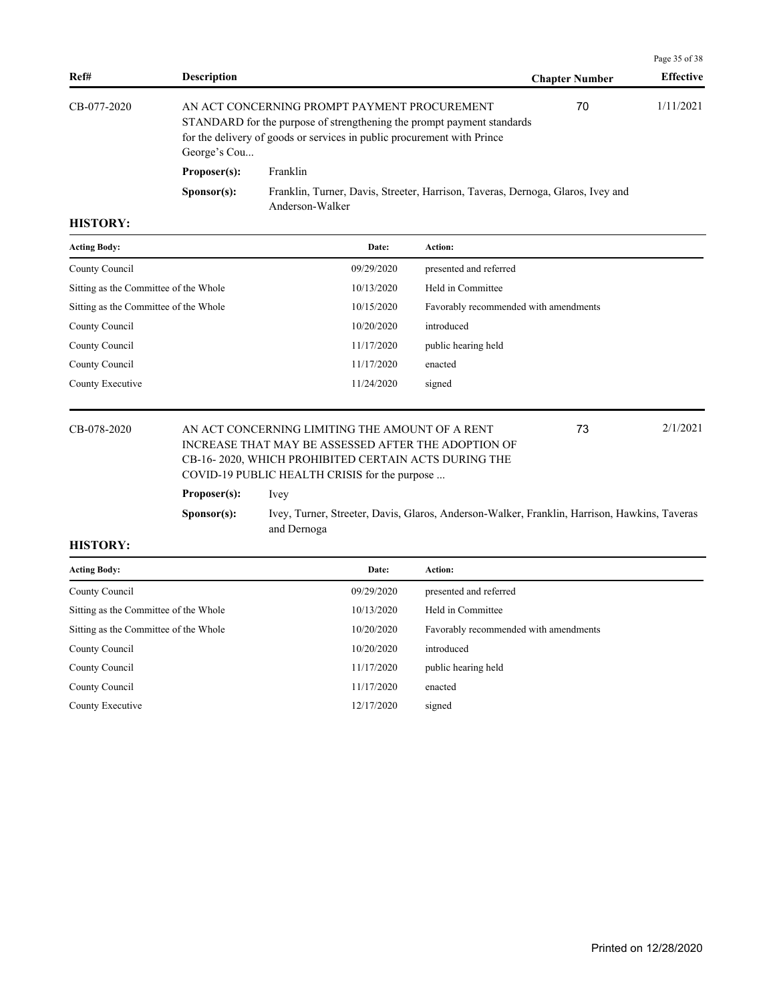|             |                      |                                                                                                                                                                                                   |                       | Page 35 of 38    |
|-------------|----------------------|---------------------------------------------------------------------------------------------------------------------------------------------------------------------------------------------------|-----------------------|------------------|
| Ref#        | <b>Description</b>   |                                                                                                                                                                                                   | <b>Chapter Number</b> | <b>Effective</b> |
| CB-077-2020 | George's Cou         | AN ACT CONCERNING PROMPT PAYMENT PROCUREMENT<br>STANDARD for the purpose of strengthening the prompt payment standards<br>for the delivery of goods or services in public procurement with Prince | 70                    | 1/11/2021        |
|             | Proposer(s):         | Franklin                                                                                                                                                                                          |                       |                  |
|             | S <b>p</b> onsor(s): | Franklin, Turner, Davis, Streeter, Harrison, Taveras, Dernoga, Glaros, Ivey and<br>Anderson-Walker                                                                                                |                       |                  |

| <b>Acting Body:</b>                   | Date:      | Action:                               |
|---------------------------------------|------------|---------------------------------------|
| County Council                        | 09/29/2020 | presented and referred                |
| Sitting as the Committee of the Whole | 10/13/2020 | Held in Committee                     |
| Sitting as the Committee of the Whole | 10/15/2020 | Favorably recommended with amendments |
| County Council                        | 10/20/2020 | introduced                            |
| County Council                        | 11/17/2020 | public hearing held                   |
| County Council                        | 11/17/2020 | enacted                               |
| County Executive                      | 11/24/2020 | signed                                |
|                                       |            |                                       |

## CB-078-2020 AN ACT CONCERNING LIMITING THE AMOUNT OF A RENT 2/1/2021 INCREASE THAT MAY BE ASSESSED AFTER THE ADOPTION OF CB-16- 2020, WHICH PROHIBITED CERTAIN ACTS DURING THE COVID-19 PUBLIC HEALTH CRISIS for the purpose ...

73

**Proposer(s):** Ivey **Sponsor(s):** Ivey, Turner, Streeter, Davis, Glaros, Anderson-Walker, Franklin, Harrison, Hawkins, Taveras and Dernoga

| <b>Acting Body:</b>                   | Date:      | <b>Action:</b>                        |
|---------------------------------------|------------|---------------------------------------|
| County Council                        | 09/29/2020 | presented and referred                |
| Sitting as the Committee of the Whole | 10/13/2020 | Held in Committee                     |
| Sitting as the Committee of the Whole | 10/20/2020 | Favorably recommended with amendments |
| County Council                        | 10/20/2020 | introduced                            |
| County Council                        | 11/17/2020 | public hearing held                   |
| County Council                        | 11/17/2020 | enacted                               |
| County Executive                      | 12/17/2020 | signed                                |
|                                       |            |                                       |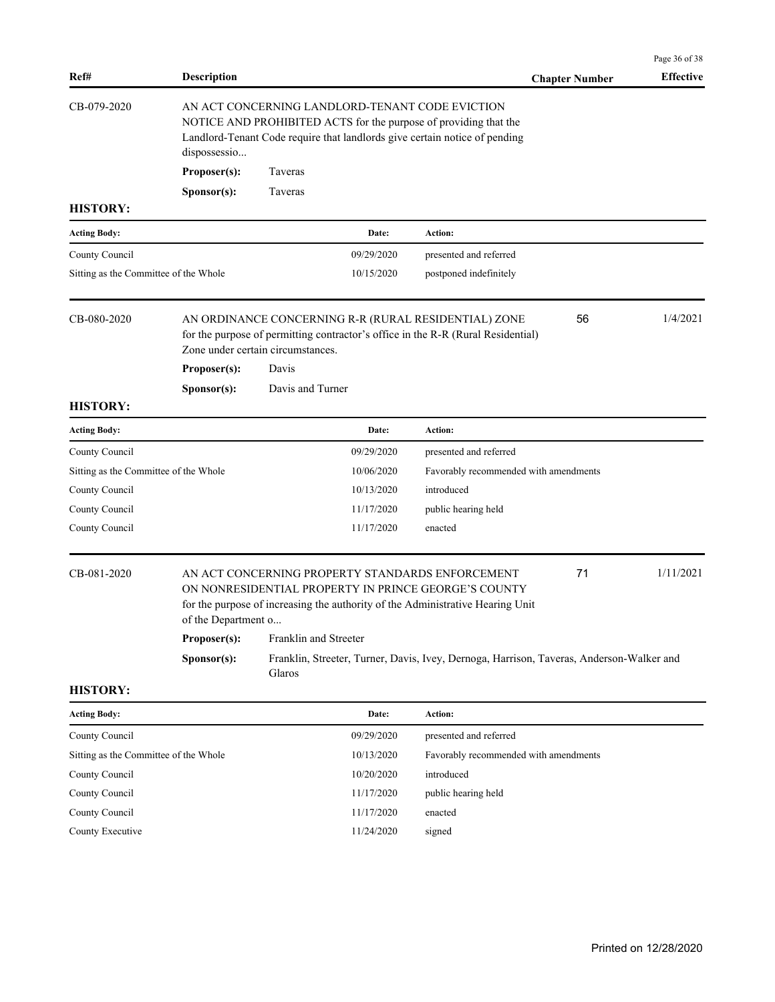| Ref#                                  | <b>Description</b>  |                                                                                                                                                                                                   |                                                                                          | Page 36 of 38<br><b>Effective</b> |
|---------------------------------------|---------------------|---------------------------------------------------------------------------------------------------------------------------------------------------------------------------------------------------|------------------------------------------------------------------------------------------|-----------------------------------|
| CB-079-2020                           |                     | AN ACT CONCERNING LANDLORD-TENANT CODE EVICTION<br>NOTICE AND PROHIBITED ACTS for the purpose of providing that the<br>Landlord-Tenant Code require that landlords give certain notice of pending | <b>Chapter Number</b>                                                                    |                                   |
|                                       | dispossessio        |                                                                                                                                                                                                   |                                                                                          |                                   |
|                                       | Proposer(s):        | Taveras                                                                                                                                                                                           |                                                                                          |                                   |
|                                       | Sponsor(s):         | Taveras                                                                                                                                                                                           |                                                                                          |                                   |
| <b>HISTORY:</b>                       |                     |                                                                                                                                                                                                   |                                                                                          |                                   |
| <b>Acting Body:</b>                   |                     | Date:                                                                                                                                                                                             | Action:                                                                                  |                                   |
| County Council                        |                     | 09/29/2020                                                                                                                                                                                        | presented and referred                                                                   |                                   |
| Sitting as the Committee of the Whole |                     | 10/15/2020                                                                                                                                                                                        | postponed indefinitely                                                                   |                                   |
| CB-080-2020                           | Proposer(s):        | AN ORDINANCE CONCERNING R-R (RURAL RESIDENTIAL) ZONE<br>for the purpose of permitting contractor's office in the R-R (Rural Residential)<br>Zone under certain circumstances.<br>Davis            | 56                                                                                       | 1/4/2021                          |
|                                       | Sponsor(s):         | Davis and Turner                                                                                                                                                                                  |                                                                                          |                                   |
| <b>HISTORY:</b>                       |                     |                                                                                                                                                                                                   |                                                                                          |                                   |
| <b>Acting Body:</b>                   |                     | Date:                                                                                                                                                                                             | Action:                                                                                  |                                   |
| County Council                        |                     | 09/29/2020                                                                                                                                                                                        | presented and referred                                                                   |                                   |
| Sitting as the Committee of the Whole |                     | 10/06/2020                                                                                                                                                                                        | Favorably recommended with amendments                                                    |                                   |
| County Council                        |                     | 10/13/2020                                                                                                                                                                                        | introduced                                                                               |                                   |
| County Council                        |                     | 11/17/2020                                                                                                                                                                                        | public hearing held                                                                      |                                   |
| County Council                        |                     | 11/17/2020                                                                                                                                                                                        | enacted                                                                                  |                                   |
| CB-081-2020                           | of the Department o | AN ACT CONCERNING PROPERTY STANDARDS ENFORCEMENT<br>ON NONRESIDENTIAL PROPERTY IN PRINCE GEORGE'S COUNTY<br>for the purpose of increasing the authority of the Administrative Hearing Unit        | 71                                                                                       | 1/11/2021                         |
|                                       | Proposer(s):        | Franklin and Streeter                                                                                                                                                                             |                                                                                          |                                   |
|                                       | Sponsor(s):         | Glaros                                                                                                                                                                                            | Franklin, Streeter, Turner, Davis, Ivey, Dernoga, Harrison, Taveras, Anderson-Walker and |                                   |
| <b>HISTORY:</b>                       |                     |                                                                                                                                                                                                   |                                                                                          |                                   |
| <b>Acting Body:</b>                   |                     | Date:                                                                                                                                                                                             | Action:                                                                                  |                                   |
| County Council                        |                     | 09/29/2020                                                                                                                                                                                        | presented and referred                                                                   |                                   |
| Sitting as the Committee of the Whole |                     | 10/13/2020                                                                                                                                                                                        | Favorably recommended with amendments                                                    |                                   |
| County Council                        |                     | 10/20/2020                                                                                                                                                                                        | introduced                                                                               |                                   |
| County Council                        |                     | 11/17/2020                                                                                                                                                                                        | public hearing held                                                                      |                                   |
| County Council                        |                     | 11/17/2020                                                                                                                                                                                        | enacted                                                                                  |                                   |
| County Executive                      |                     | 11/24/2020                                                                                                                                                                                        | signed                                                                                   |                                   |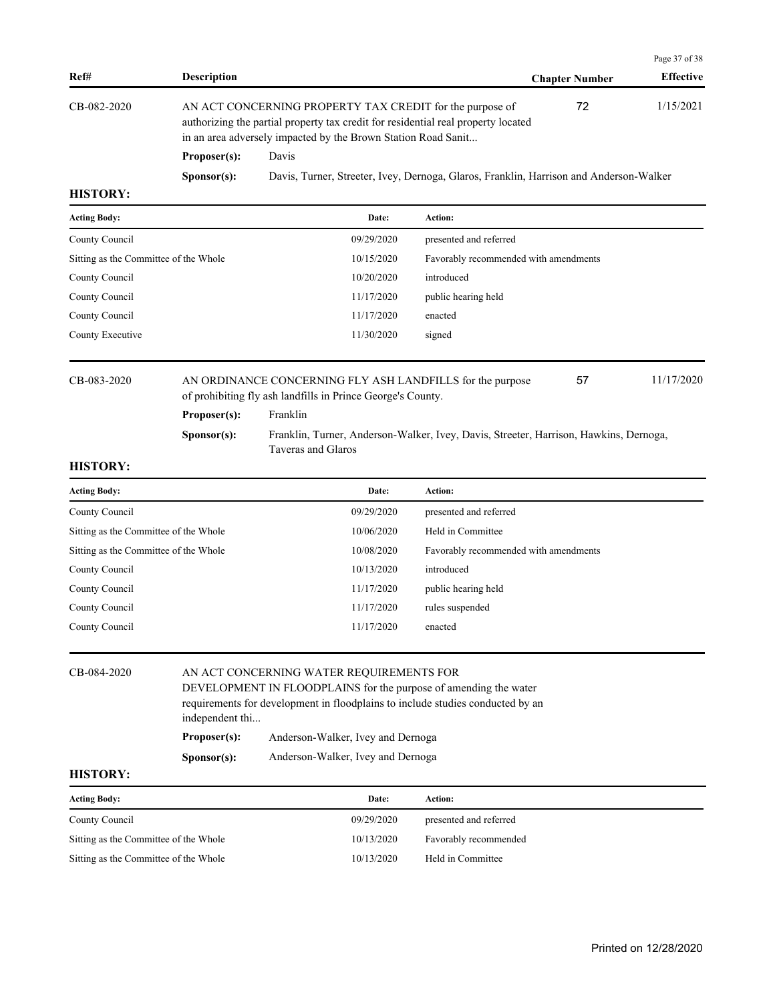|                 |                                                                                                                                                                                                                |                                                                                        |                       | Page 37 of 38    |
|-----------------|----------------------------------------------------------------------------------------------------------------------------------------------------------------------------------------------------------------|----------------------------------------------------------------------------------------|-----------------------|------------------|
| Ref#            | <b>Description</b>                                                                                                                                                                                             |                                                                                        | <b>Chapter Number</b> | <b>Effective</b> |
| CB-082-2020     | AN ACT CONCERNING PROPERTY TAX CREDIT for the purpose of<br>authorizing the partial property tax credit for residential real property located<br>in an area adversely impacted by the Brown Station Road Sanit |                                                                                        | 72                    | 1/15/2021        |
|                 | Proposer(s):                                                                                                                                                                                                   | Davis                                                                                  |                       |                  |
|                 | S <b>p</b> onsor(s):                                                                                                                                                                                           | Davis, Turner, Streeter, Ivey, Dernoga, Glaros, Franklin, Harrison and Anderson-Walker |                       |                  |
| <b>HISTORY:</b> |                                                                                                                                                                                                                |                                                                                        |                       |                  |

| <b>Acting Body:</b>                   | Date:                                                     | Action:                               |    |            |
|---------------------------------------|-----------------------------------------------------------|---------------------------------------|----|------------|
| County Council                        | 09/29/2020                                                | presented and referred                |    |            |
| Sitting as the Committee of the Whole | 10/15/2020                                                | Favorably recommended with amendments |    |            |
| County Council                        | 10/20/2020                                                | introduced                            |    |            |
| County Council                        | 11/17/2020                                                | public hearing held                   |    |            |
| County Council                        | 11/17/2020                                                | enacted                               |    |            |
| County Executive                      | 11/30/2020                                                | signed                                |    |            |
|                                       |                                                           |                                       |    |            |
| CB-083-2020                           | AN ORDINANCE CONCERNING FLY ASH LANDFILLS for the purpose |                                       | 57 | 11/17/2020 |

of prohibiting fly ash landfills in Prince George's County.

## **Proposer(s):** Franklin

**Sponsor(s):** Franklin, Turner, Anderson-Walker, Ivey, Davis, Streeter, Harrison, Hawkins, Dernoga, Taveras and Glaros

### **HISTORY:**

| Date:      | <b>Action:</b>                        |
|------------|---------------------------------------|
| 09/29/2020 | presented and referred                |
| 10/06/2020 | Held in Committee                     |
| 10/08/2020 | Favorably recommended with amendments |
| 10/13/2020 | introduced                            |
| 11/17/2020 | public hearing held                   |
| 11/17/2020 | rules suspended                       |
| 11/17/2020 | enacted                               |
|            |                                       |

| CB-084-2020 |                      | AN ACT CONCERNING WATER REQUIREMENTS FOR<br>DEVELOPMENT IN FLOODPLAINS for the purpose of amending the water |
|-------------|----------------------|--------------------------------------------------------------------------------------------------------------|
|             | independent thi      | requirements for development in floodplains to include studies conducted by an                               |
|             | Proposer(s):         | Anderson-Walker, Ivey and Dernoga                                                                            |
|             | S <b>p</b> onsor(s): | Anderson-Walker, Ivey and Dernoga                                                                            |
|             |                      |                                                                                                              |

| <b>Acting Body:</b>                   | Date:      | Action:                |
|---------------------------------------|------------|------------------------|
| County Council                        | 09/29/2020 | presented and referred |
| Sitting as the Committee of the Whole | 10/13/2020 | Favorably recommended  |
| Sitting as the Committee of the Whole | 10/13/2020 | Held in Committee      |